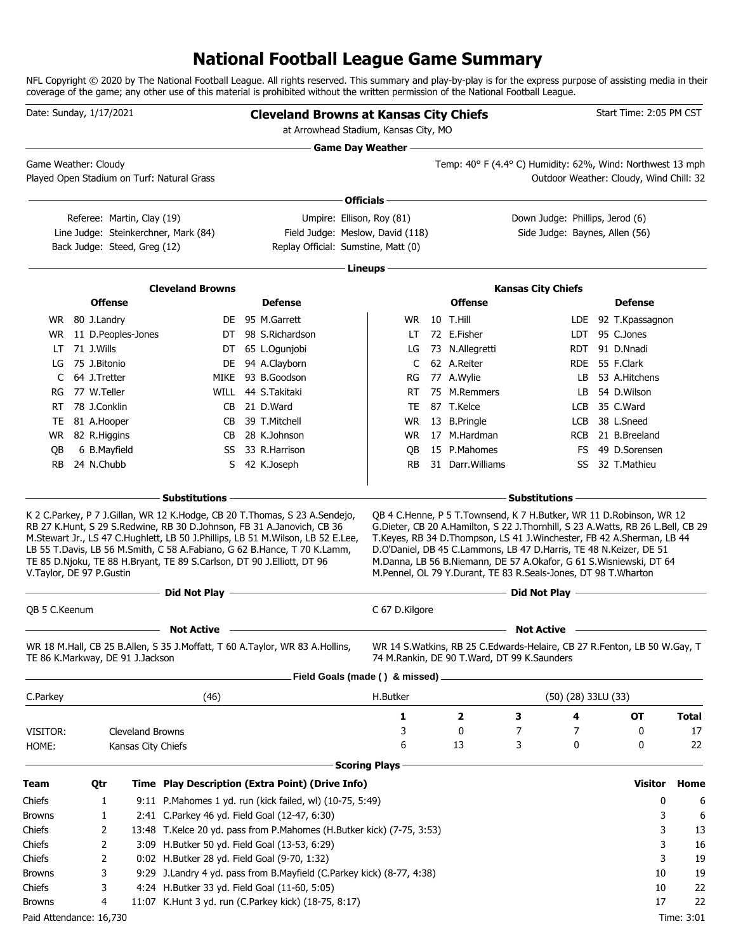## **National Football League Game Summary**

NFL Copyright © 2020 by The National Football League. All rights reserved. This summary and play-by-play is for the express purpose of assisting media in their coverage of the game; any other use of this material is prohibited without the written permission of the National Football League.

| Date: Sunday, 1/17/2021  |                                  |                                                                        | <b>Cleveland Browns at Kansas City Chiefs</b><br>at Arrowhead Stadium, Kansas City, MO                                                                                                                                                |                            |                                                                                                                                                                                                                                                                                                                                                                        |                                 |            | Start Time: 2:05 PM CST                 |              |
|--------------------------|----------------------------------|------------------------------------------------------------------------|---------------------------------------------------------------------------------------------------------------------------------------------------------------------------------------------------------------------------------------|----------------------------|------------------------------------------------------------------------------------------------------------------------------------------------------------------------------------------------------------------------------------------------------------------------------------------------------------------------------------------------------------------------|---------------------------------|------------|-----------------------------------------|--------------|
| Game Weather: Cloudy     |                                  |                                                                        |                                                                                                                                                                                                                                       | <b>Game Day Weather --</b> | Temp: 40° F (4.4° C) Humidity: 62%, Wind: Northwest 13 mph                                                                                                                                                                                                                                                                                                             |                                 |            |                                         |              |
|                          |                                  | Played Open Stadium on Turf: Natural Grass                             |                                                                                                                                                                                                                                       |                            |                                                                                                                                                                                                                                                                                                                                                                        |                                 |            | Outdoor Weather: Cloudy, Wind Chill: 32 |              |
|                          |                                  |                                                                        |                                                                                                                                                                                                                                       | Officials -                |                                                                                                                                                                                                                                                                                                                                                                        |                                 |            |                                         |              |
|                          | Referee: Martin, Clay (19)       |                                                                        | Umpire: Ellison, Roy (81)                                                                                                                                                                                                             |                            |                                                                                                                                                                                                                                                                                                                                                                        | Down Judge: Phillips, Jerod (6) |            |                                         |              |
|                          |                                  | Line Judge: Steinkerchner, Mark (84)                                   | Field Judge: Meslow, David (118)                                                                                                                                                                                                      |                            |                                                                                                                                                                                                                                                                                                                                                                        | Side Judge: Baynes, Allen (56)  |            |                                         |              |
|                          | Back Judge: Steed, Greg (12)     |                                                                        | Replay Official: Sumstine, Matt (0)                                                                                                                                                                                                   |                            |                                                                                                                                                                                                                                                                                                                                                                        |                                 |            |                                         |              |
|                          |                                  |                                                                        |                                                                                                                                                                                                                                       | Lineups -                  |                                                                                                                                                                                                                                                                                                                                                                        |                                 |            |                                         |              |
|                          |                                  | <b>Cleveland Browns</b>                                                |                                                                                                                                                                                                                                       |                            |                                                                                                                                                                                                                                                                                                                                                                        |                                 |            |                                         |              |
|                          | <b>Offense</b>                   |                                                                        | <b>Defense</b>                                                                                                                                                                                                                        |                            | <b>Offense</b>                                                                                                                                                                                                                                                                                                                                                         | <b>Kansas City Chiefs</b>       |            | <b>Defense</b>                          |              |
|                          | WR 80 J.Landry                   |                                                                        | DE 95 M.Garrett                                                                                                                                                                                                                       | WR.                        | 10 T.Hill                                                                                                                                                                                                                                                                                                                                                              |                                 |            | LDE 92 T.Kpassagnon                     |              |
| WR.                      | 11 D.Peoples-Jones               |                                                                        | DT 98 S.Richardson                                                                                                                                                                                                                    | LT                         | 72 E.Fisher                                                                                                                                                                                                                                                                                                                                                            |                                 |            | LDT 95 C.Jones                          |              |
| LT                       | 71 J.Wills                       | DT                                                                     | 65 L.Ogunjobi                                                                                                                                                                                                                         | LG                         | 73 N.Allegretti                                                                                                                                                                                                                                                                                                                                                        |                                 | RDT.       | 91 D.Nnadi                              |              |
| LG                       | 75 J.Bitonio                     | DE                                                                     | 94 A.Clayborn                                                                                                                                                                                                                         | C                          | 62 A.Reiter                                                                                                                                                                                                                                                                                                                                                            |                                 | RDE.       | 55 F.Clark                              |              |
| C                        | 64 J.Tretter                     |                                                                        | MIKE 93 B.Goodson                                                                                                                                                                                                                     | RG                         | 77 A.Wylie                                                                                                                                                                                                                                                                                                                                                             |                                 | LB.        | 53 A.Hitchens                           |              |
| RG                       | 77 W.Teller                      |                                                                        | WILL 44 S.Takitaki                                                                                                                                                                                                                    | RT                         | 75 M.Remmers                                                                                                                                                                                                                                                                                                                                                           |                                 | LB         | 54 D.Wilson                             |              |
| RT                       | 78 J.Conklin                     | CB.                                                                    | 21 D.Ward                                                                                                                                                                                                                             | TE                         | 87 T.Kelce                                                                                                                                                                                                                                                                                                                                                             |                                 | LCB        | 35 C.Ward                               |              |
| TE                       | 81 A.Hooper                      | CB                                                                     | 39 T.Mitchell                                                                                                                                                                                                                         | WR.                        | 13 B.Pringle                                                                                                                                                                                                                                                                                                                                                           |                                 | LCB        | 38 L.Sneed                              |              |
| WR.                      | 82 R.Higgins                     | CB                                                                     | 28 K.Johnson                                                                                                                                                                                                                          | WR                         | 17 M.Hardman                                                                                                                                                                                                                                                                                                                                                           |                                 | <b>RCB</b> | 21 B.Breeland                           |              |
| OВ                       | 6 B.Mayfield                     | SS                                                                     | 33 R.Harrison                                                                                                                                                                                                                         | QB                         | 15 P.Mahomes                                                                                                                                                                                                                                                                                                                                                           |                                 | FS         | 49 D.Sorensen                           |              |
| <b>RB</b>                | 24 N.Chubb                       | S                                                                      | 42 K.Joseph                                                                                                                                                                                                                           | RB.                        | 31 Darr. Williams                                                                                                                                                                                                                                                                                                                                                      |                                 | SS         | 32 T.Mathieu                            |              |
|                          |                                  | - Substitutions                                                        |                                                                                                                                                                                                                                       |                            |                                                                                                                                                                                                                                                                                                                                                                        | <b>Substitutions</b>            |            |                                         |              |
| V.Taylor, DE 97 P.Gustin |                                  | TE 85 D.Njoku, TE 88 H.Bryant, TE 89 S.Carlson, DT 90 J.Elliott, DT 96 | RB 27 K.Hunt, S 29 S.Redwine, RB 30 D.Johnson, FB 31 A.Janovich, CB 36<br>M.Stewart Jr., LS 47 C.Hughlett, LB 50 J.Phillips, LB 51 M.Wilson, LB 52 E.Lee,<br>LB 55 T.Davis, LB 56 M.Smith, C 58 A.Fabiano, G 62 B.Hance, T 70 K.Lamm, |                            | G.Dieter, CB 20 A.Hamilton, S 22 J.Thornhill, S 23 A.Watts, RB 26 L.Bell, CB 29<br>T.Keyes, RB 34 D.Thompson, LS 41 J.Winchester, FB 42 A.Sherman, LB 44<br>D.O'Daniel, DB 45 C.Lammons, LB 47 D.Harris, TE 48 N.Keizer, DE 51<br>M.Danna, LB 56 B.Niemann, DE 57 A.Okafor, G 61 S.Wisniewski, DT 64<br>M.Pennel, OL 79 Y.Durant, TE 83 R.Seals-Jones, DT 98 T.Wharton |                                 |            |                                         |              |
|                          |                                  | Did Not Play                                                           |                                                                                                                                                                                                                                       |                            |                                                                                                                                                                                                                                                                                                                                                                        | Did Not Play -                  |            |                                         |              |
| QB 5 C.Keenum            |                                  |                                                                        |                                                                                                                                                                                                                                       | C 67 D.Kilgore             |                                                                                                                                                                                                                                                                                                                                                                        |                                 |            |                                         |              |
|                          |                                  | <b>Not Active</b>                                                      |                                                                                                                                                                                                                                       |                            |                                                                                                                                                                                                                                                                                                                                                                        | <b>Not Active</b>               |            |                                         |              |
|                          | TE 86 K.Markway, DE 91 J.Jackson |                                                                        | WR 18 M.Hall, CB 25 B.Allen, S 35 J.Moffatt, T 60 A.Taylor, WR 83 A.Hollins,                                                                                                                                                          |                            | WR 14 S. Watkins, RB 25 C. Edwards-Helaire, CB 27 R. Fenton, LB 50 W. Gay, T<br>74 M.Rankin, DE 90 T.Ward, DT 99 K.Saunders                                                                                                                                                                                                                                            |                                 |            |                                         |              |
|                          |                                  |                                                                        | Field Goals (made () & missed)                                                                                                                                                                                                        |                            |                                                                                                                                                                                                                                                                                                                                                                        |                                 |            |                                         |              |
| C.Parkey                 |                                  | (46)                                                                   |                                                                                                                                                                                                                                       | H.Butker                   |                                                                                                                                                                                                                                                                                                                                                                        | (50) (28) 33LU (33)             |            |                                         |              |
|                          |                                  |                                                                        |                                                                                                                                                                                                                                       | 1                          | 2                                                                                                                                                                                                                                                                                                                                                                      | З                               | 4          | <b>OT</b>                               | <b>Total</b> |
| VISITOR:                 |                                  | Cleveland Browns                                                       |                                                                                                                                                                                                                                       | 3                          | 0                                                                                                                                                                                                                                                                                                                                                                      | 7                               | 7          | 0                                       | 17           |
| HOME:                    |                                  | Kansas City Chiefs                                                     |                                                                                                                                                                                                                                       | 6                          | 13                                                                                                                                                                                                                                                                                                                                                                     | 3                               | 0          | 0                                       | 22           |
|                          |                                  |                                                                        |                                                                                                                                                                                                                                       | <b>Scoring Plays</b>       |                                                                                                                                                                                                                                                                                                                                                                        |                                 |            |                                         |              |
| Team                     | Qtr                              |                                                                        | Time Play Description (Extra Point) (Drive Info)                                                                                                                                                                                      |                            |                                                                                                                                                                                                                                                                                                                                                                        |                                 |            | <b>Visitor</b>                          | Home         |
| Chiefs                   | 1                                |                                                                        | 9:11 P.Mahomes 1 yd. run (kick failed, wl) (10-75, 5:49)                                                                                                                                                                              |                            |                                                                                                                                                                                                                                                                                                                                                                        |                                 |            | 0                                       | 6            |
| <b>Browns</b>            | 1                                | 2:41 C.Parkey 46 yd. Field Goal (12-47, 6:30)                          |                                                                                                                                                                                                                                       |                            |                                                                                                                                                                                                                                                                                                                                                                        |                                 |            | 3                                       | 6            |
| Chiefs                   | 2                                |                                                                        | 13:48 T.Kelce 20 yd. pass from P.Mahomes (H.Butker kick) (7-75, 3:53)                                                                                                                                                                 |                            |                                                                                                                                                                                                                                                                                                                                                                        |                                 |            | 3                                       | 13           |
| Chiefs                   | 2                                | 3:09 H.Butker 50 yd. Field Goal (13-53, 6:29)                          |                                                                                                                                                                                                                                       |                            |                                                                                                                                                                                                                                                                                                                                                                        |                                 |            | 3                                       | 16           |
| Chiefs                   | 2                                | 0:02 H.Butker 28 yd. Field Goal (9-70, 1:32)                           |                                                                                                                                                                                                                                       |                            |                                                                                                                                                                                                                                                                                                                                                                        |                                 |            | 3                                       | 19           |
| Browns                   | 3                                |                                                                        | 9:29 J.Landry 4 yd. pass from B.Mayfield (C.Parkey kick) (8-77, 4:38)                                                                                                                                                                 |                            |                                                                                                                                                                                                                                                                                                                                                                        |                                 |            | 10                                      | 19           |
| Chiefs                   | 3                                | 4:24 H.Butker 33 yd. Field Goal (11-60, 5:05)                          |                                                                                                                                                                                                                                       |                            |                                                                                                                                                                                                                                                                                                                                                                        |                                 |            | 10                                      | 22           |
| Browns                   | 4                                |                                                                        | 11:07 K.Hunt 3 yd. run (C.Parkey kick) (18-75, 8:17)                                                                                                                                                                                  |                            |                                                                                                                                                                                                                                                                                                                                                                        |                                 |            | 17                                      | 22           |
| Paid Attendance: 16,730  |                                  |                                                                        |                                                                                                                                                                                                                                       |                            |                                                                                                                                                                                                                                                                                                                                                                        |                                 |            |                                         | Time: 3:01   |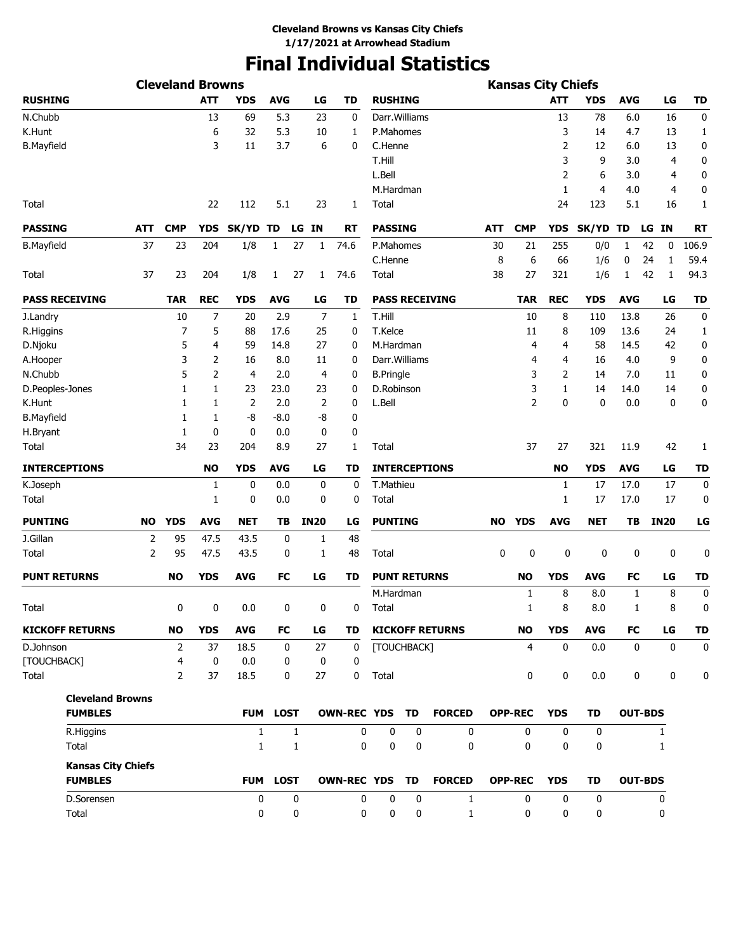# **Final Individual Statistics**

|                        |                           | <b>Cleveland Browns</b> |                |              |                 |              |             |                    |                     |             |                        |            | <b>Kansas City Chiefs</b> |              |                |                |       |              |             |
|------------------------|---------------------------|-------------------------|----------------|--------------|-----------------|--------------|-------------|--------------------|---------------------|-------------|------------------------|------------|---------------------------|--------------|----------------|----------------|-------|--------------|-------------|
| <b>RUSHING</b>         |                           |                         | <b>ATT</b>     | <b>YDS</b>   | <b>AVG</b>      |              | LG          | TD                 | <b>RUSHING</b>      |             |                        |            |                           | <b>ATT</b>   | <b>YDS</b>     | <b>AVG</b>     |       | LG           | <b>TD</b>   |
| N.Chubb                |                           |                         | 13             | 69           | 5.3             |              | 23          | 0                  | Darr. Williams      |             |                        |            |                           | 13           | 78             | 6.0            |       | 16           | 0           |
| K.Hunt                 |                           |                         | 6              | 32           | 5.3             |              | 10          | 1                  | P.Mahomes           |             |                        |            |                           | 3            | 14             | 4.7            |       | 13           | 1           |
| <b>B.Mayfield</b>      |                           |                         | 3              | 11           | 3.7             |              | 6           | 0                  | C.Henne             |             |                        |            |                           | 2            | 12             | 6.0            |       | 13           | 0           |
|                        |                           |                         |                |              |                 |              |             |                    | T.Hill              |             |                        |            |                           | 3            | 9              | 3.0            |       | 4            | 0           |
|                        |                           |                         |                |              |                 |              |             |                    | L.Bell              |             |                        |            |                           | 2            | 6              | 3.0            |       | 4            | 0           |
|                        |                           |                         |                |              |                 |              |             |                    | M.Hardman           |             |                        |            |                           | 1            | $\overline{4}$ | 4.0            |       | 4            | 0           |
| Total                  |                           |                         | 22             | 112          | 5.1             |              | 23          | 1                  | Total               |             |                        |            |                           | 24           | 123            | 5.1            |       | 16           | 1           |
| <b>PASSING</b>         | <b>ATT</b>                | <b>CMP</b>              | <b>YDS</b>     | SK/YD TD     |                 |              | LG IN       | <b>RT</b>          | <b>PASSING</b>      |             |                        | <b>ATT</b> | <b>CMP</b>                | <b>YDS</b>   | SK/YD TD       |                | LG IN |              | <b>RT</b>   |
| <b>B.Mayfield</b>      | 37                        | 23                      | 204            | 1/8          | 1               | 27           | 1           | 74.6               | P.Mahomes           |             |                        | 30         | 21                        | 255          | 0/0            | 1              | 42    | 0            | 106.9       |
|                        |                           |                         |                |              |                 |              |             |                    | C.Henne             |             |                        | 8          | 6                         | 66           | 1/6            | 0              | 24    | 1            | 59.4        |
| Total                  | 37                        | 23                      | 204            | 1/8          | 1               | 27           | 1           | 74.6               | Total               |             |                        | 38         | 27                        | 321          | 1/6            | 1              | 42    | 1            | 94.3        |
| <b>PASS RECEIVING</b>  |                           | <b>TAR</b>              | <b>REC</b>     | <b>YDS</b>   | <b>AVG</b>      |              | LG          | TD                 |                     |             | <b>PASS RECEIVING</b>  |            | <b>TAR</b>                | <b>REC</b>   | <b>YDS</b>     | <b>AVG</b>     |       | LG           | <b>TD</b>   |
| J.Landry               |                           | 10                      | 7              | 20           | 2.9             |              | 7           | $\mathbf{1}$       | T.Hill              |             |                        |            | 10                        | 8            | 110            | 13.8           |       | 26           | 0           |
| R.Higgins              |                           | 7                       | 5              | 88           | 17.6            |              | 25          | 0                  | T.Kelce             |             |                        |            | 11                        | 8            | 109            | 13.6           |       | 24           | 1           |
| D.Njoku                |                           | 5                       | 4              | 59           | 14.8            |              | 27          | 0                  | M.Hardman           |             |                        |            | 4                         | 4            | 58             | 14.5           |       | 42           | 0           |
| A.Hooper               |                           | 3                       | $\overline{2}$ | 16           | 8.0             |              | 11          | 0                  | Darr. Williams      |             |                        |            | 4                         | 4            | 16             | 4.0            |       | 9            | 0           |
| N.Chubb                |                           | 5                       | $\overline{2}$ | 4            | 2.0             |              | 4           | 0                  | <b>B.Pringle</b>    |             |                        |            | 3                         | 2            | 14             | 7.0            |       | 11           | 0           |
| D.Peoples-Jones        |                           | 1                       | 1              | 23           | 23.0            |              | 23          | 0                  | D.Robinson          |             |                        |            | 3                         | $\mathbf{1}$ | 14             | 14.0           |       | 14           | 0           |
| K.Hunt                 |                           | 1                       | 1              | 2            | 2.0             |              | 2           | 0                  | L.Bell              |             |                        |            | $\overline{2}$            | 0            | $\mathbf{0}$   | 0.0            |       | 0            | 0           |
| <b>B.Mayfield</b>      |                           | 1                       | 1              | -8           | $-8.0$          |              | -8          | 0                  |                     |             |                        |            |                           |              |                |                |       |              |             |
| H.Bryant               |                           | 1                       | 0              | 0            | 0.0             |              | 0           | 0                  |                     |             |                        |            |                           |              |                |                |       |              |             |
| Total                  |                           | 34                      | 23             | 204          | 8.9             |              | 27          | 1                  | Total               |             |                        |            | 37                        | 27           | 321            | 11.9           |       | 42           | 1           |
| <b>INTERCEPTIONS</b>   |                           |                         | <b>NO</b>      | <b>YDS</b>   | <b>AVG</b>      |              | LG          | TD                 |                     |             | <b>INTERCEPTIONS</b>   |            |                           | <b>NO</b>    | <b>YDS</b>     | <b>AVG</b>     |       | LG           | TD          |
| K.Joseph               |                           |                         | 1              | 0            | 0.0             |              | 0           | 0                  | T.Mathieu           |             |                        |            |                           | 1            | 17             | 17.0           |       | 17           | 0           |
| Total                  |                           |                         | 1              | 0            | 0.0             |              | 0           | 0                  | Total               |             |                        |            |                           | 1            | 17             | 17.0           |       | 17           | 0           |
| <b>PUNTING</b>         | <b>NO</b>                 | <b>YDS</b>              | <b>AVG</b>     | <b>NET</b>   | ΤВ              |              | <b>IN20</b> | LG                 | <b>PUNTING</b>      |             |                        | <b>NO</b>  | YDS                       | <b>AVG</b>   | <b>NET</b>     | TВ             |       | <b>IN20</b>  | LG          |
| J.Gillan               | 2                         | 95                      | 47.5           | 43.5         | 0               |              | 1           | 48                 |                     |             |                        |            |                           |              |                |                |       |              |             |
| Total                  | $\overline{2}$            | 95                      | 47.5           | 43.5         | 0               |              | 1           | 48                 | Total               |             |                        | 0          | 0                         | 0            | 0              | 0              |       | 0            | 0           |
| <b>PUNT RETURNS</b>    |                           | <b>NO</b>               | <b>YDS</b>     | <b>AVG</b>   | FC              |              | LG          | TD                 | <b>PUNT RETURNS</b> |             |                        |            | <b>NO</b>                 | <b>YDS</b>   | <b>AVG</b>     | FC             |       | LG           | <b>TD</b>   |
|                        |                           |                         |                |              |                 |              |             |                    | M.Hardman           |             |                        |            | 1                         | 8            | 8.0            | 1              |       | 8            | 0           |
| Total                  |                           | 0                       | 0              | 0.0          | 0               |              | 0           | 0                  | Total               |             |                        |            | 1                         | 8            | 8.0            | 1              |       | 8            | 0           |
| <b>KICKOFF RETURNS</b> |                           | <b>NO</b>               | <b>YDS</b>     | <b>AVG</b>   | FC              |              | LG          | TD                 |                     |             | <b>KICKOFF RETURNS</b> |            | <b>NO</b>                 | <b>YDS</b>   | <b>AVG</b>     | FC             |       | LG           | <b>TD</b>   |
| D.Johnson              |                           | 2                       | 37             | 18.5         | 0               |              | 27          | $\mathbf 0$        | [TOUCHBACK]         |             |                        |            | 4                         | $\mathbf 0$  | 0.0            | $\mathbf 0$    |       | $\mathbf 0$  | $\mathbf 0$ |
| [TOUCHBACK]            |                           | $\overline{4}$          | 0              | 0.0          | 0               |              | 0           | 0                  |                     |             |                        |            |                           |              |                |                |       |              |             |
| Total                  |                           | 2                       | 37             | 18.5         | 0               |              | 27          | 0                  | Total               |             |                        |            | 0                         | 0            | 0.0            | 0              |       | 0            | 0           |
|                        | <b>Cleveland Browns</b>   |                         |                |              |                 |              |             |                    |                     |             |                        |            |                           |              |                |                |       |              |             |
| <b>FUMBLES</b>         |                           |                         |                |              | <b>FUM LOST</b> |              |             | OWN-REC YDS TD     |                     |             | <b>FORCED</b>          |            | <b>OPP-REC</b>            | <b>YDS</b>   | TD             | <b>OUT-BDS</b> |       |              |             |
| R.Higgins              |                           |                         |                | $\mathbf{1}$ |                 | $\mathbf{1}$ |             | 0                  | 0                   | 0           | $\mathbf 0$            |            | 0                         | 0            | 0              |                |       | $\mathbf{1}$ |             |
| Total                  |                           |                         |                | $\mathbf{1}$ |                 | 1            |             | 0                  | $\mathbf 0$         | $\mathbf 0$ | $\mathbf{0}$           |            | $\mathbf{0}$              | 0            | $\mathbf 0$    |                |       | 1            |             |
|                        | <b>Kansas City Chiefs</b> |                         |                |              |                 |              |             |                    |                     |             |                        |            |                           |              |                |                |       |              |             |
| <b>FUMBLES</b>         |                           |                         |                | <b>FUM</b>   | <b>LOST</b>     |              |             | <b>OWN-REC YDS</b> |                     | TD          | <b>FORCED</b>          |            | <b>OPP-REC</b>            | <b>YDS</b>   | <b>TD</b>      | <b>OUT-BDS</b> |       |              |             |
| D.Sorensen             |                           |                         |                | 0            |                 | 0            |             | 0                  | 0                   | 0           | $\mathbf{1}$           |            | 0                         | 0            | 0              |                |       | 0            |             |
| Total                  |                           |                         |                | 0            |                 | 0            |             | 0                  | 0                   | 0           | $\mathbf{1}$           |            | 0                         | 0            | 0              |                |       | 0            |             |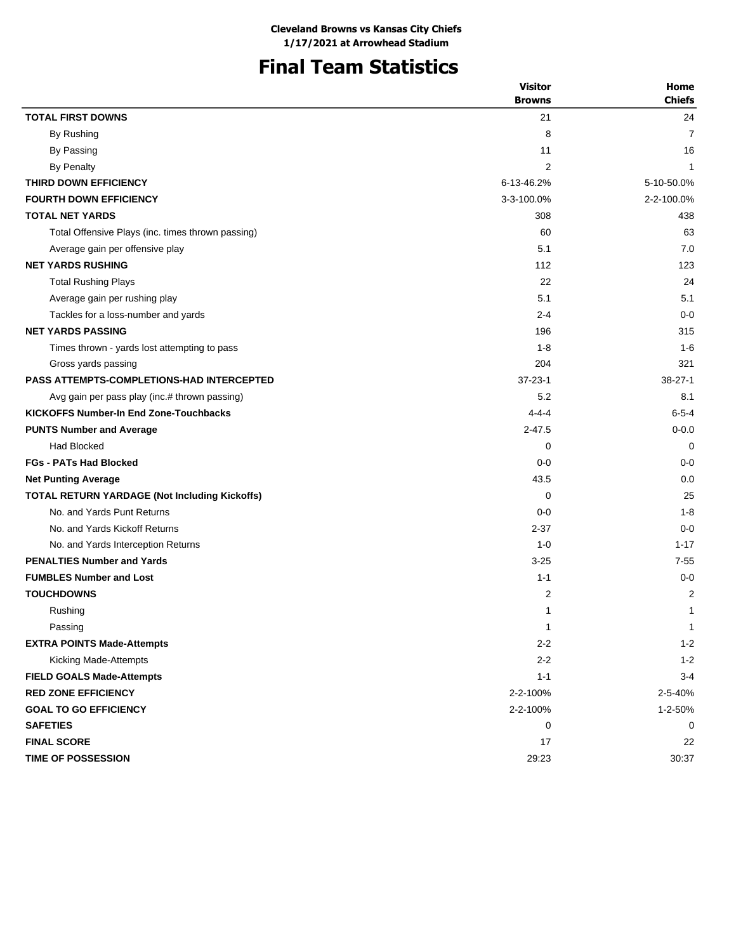## **Final Team Statistics**

|                                                      | <b>Visitor</b> | Home           |
|------------------------------------------------------|----------------|----------------|
|                                                      | <b>Browns</b>  | <b>Chiefs</b>  |
| <b>TOTAL FIRST DOWNS</b>                             | 21             | 24             |
| By Rushing                                           | 8              | $\overline{7}$ |
| By Passing                                           | 11             | 16             |
| <b>By Penalty</b>                                    | 2              | 1              |
| THIRD DOWN EFFICIENCY                                | 6-13-46.2%     | 5-10-50.0%     |
| <b>FOURTH DOWN EFFICIENCY</b>                        | 3-3-100.0%     | 2-2-100.0%     |
| <b>TOTAL NET YARDS</b>                               | 308            | 438            |
| Total Offensive Plays (inc. times thrown passing)    | 60             | 63             |
| Average gain per offensive play                      | 5.1            | 7.0            |
| <b>NET YARDS RUSHING</b>                             | 112            | 123            |
| <b>Total Rushing Plays</b>                           | 22             | 24             |
| Average gain per rushing play                        | 5.1            | 5.1            |
| Tackles for a loss-number and yards                  | $2 - 4$        | $0 - 0$        |
| <b>NET YARDS PASSING</b>                             | 196            | 315            |
| Times thrown - yards lost attempting to pass         | $1 - 8$        | $1 - 6$        |
| Gross yards passing                                  | 204            | 321            |
| <b>PASS ATTEMPTS-COMPLETIONS-HAD INTERCEPTED</b>     | $37 - 23 - 1$  | $38 - 27 - 1$  |
| Avg gain per pass play (inc.# thrown passing)        | 5.2            | 8.1            |
| <b>KICKOFFS Number-In End Zone-Touchbacks</b>        | $4 - 4 - 4$    | $6 - 5 - 4$    |
| <b>PUNTS Number and Average</b>                      | $2 - 47.5$     | $0 - 0.0$      |
| <b>Had Blocked</b>                                   | 0              | $\Omega$       |
| <b>FGs - PATs Had Blocked</b>                        | $0 - 0$        | $0 - 0$        |
| <b>Net Punting Average</b>                           | 43.5           | 0.0            |
| <b>TOTAL RETURN YARDAGE (Not Including Kickoffs)</b> | 0              | 25             |
| No. and Yards Punt Returns                           | $0-0$          | $1 - 8$        |
| No. and Yards Kickoff Returns                        | $2 - 37$       | $0 - 0$        |
| No. and Yards Interception Returns                   | $1 - 0$        | $1 - 17$       |
| <b>PENALTIES Number and Yards</b>                    | $3 - 25$       | $7 - 55$       |
| <b>FUMBLES Number and Lost</b>                       | $1 - 1$        | $0 - 0$        |
| <b>TOUCHDOWNS</b>                                    | $\overline{c}$ | 2              |
| Rushing                                              | 1              | 1              |
| Passing                                              | 1              | $\mathbf{1}$   |
| <b>EXTRA POINTS Made-Attempts</b>                    | $2 - 2$        | $1 - 2$        |
| Kicking Made-Attempts                                | $2 - 2$        | $1 - 2$        |
| <b>FIELD GOALS Made-Attempts</b>                     | $1 - 1$        | $3-4$          |
| <b>RED ZONE EFFICIENCY</b>                           | 2-2-100%       | 2-5-40%        |
| <b>GOAL TO GO EFFICIENCY</b>                         | 2-2-100%       | 1-2-50%        |
| <b>SAFETIES</b>                                      | 0              | 0              |
| <b>FINAL SCORE</b>                                   | 17             | 22             |
| TIME OF POSSESSION                                   | 29:23          | 30:37          |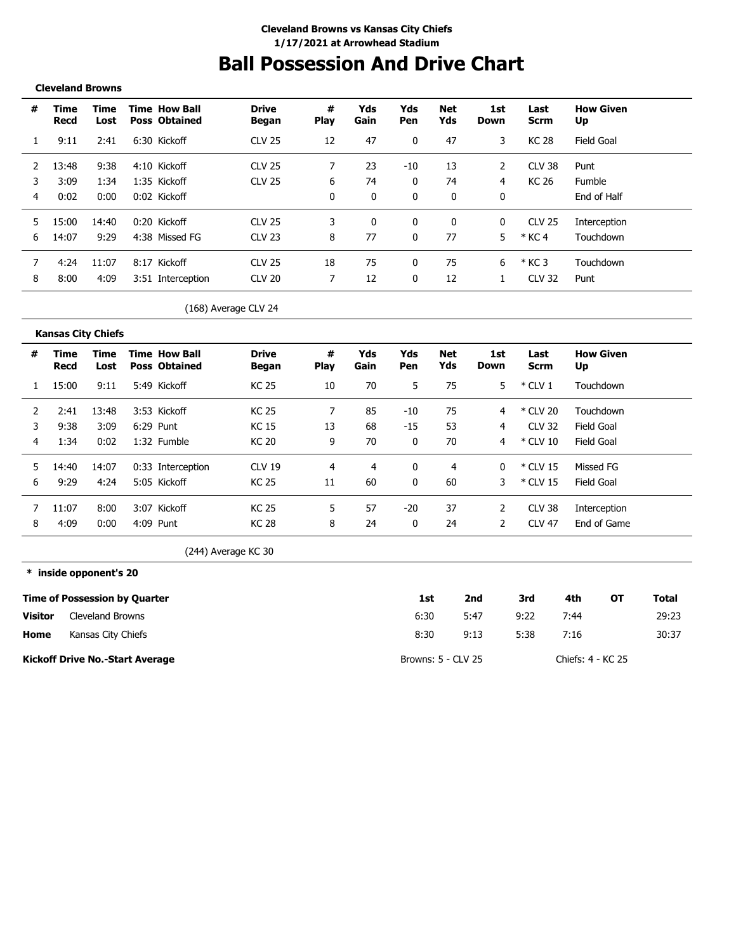# **Ball Possession And Drive Chart**

### **Cleveland Browns**

| #  | Time<br>Recd | Time<br>Lost | <b>Time How Ball</b><br><b>Poss Obtained</b> | <b>Drive</b><br>Began | #<br><b>Play</b> | Yds<br>Gain  | Yds<br>Pen | <b>Net</b><br>Yds | 1st<br>Down  | Last<br><b>Scrm</b> | <b>How Given</b><br>Up |
|----|--------------|--------------|----------------------------------------------|-----------------------|------------------|--------------|------------|-------------------|--------------|---------------------|------------------------|
|    | 9:11         | 2:41         | 6:30 Kickoff                                 | <b>CLV 25</b>         | 12               | 47           | 0          | 47                | 3            | <b>KC 28</b>        | Field Goal             |
|    | 13:48        | 9:38         | 4:10 Kickoff                                 | <b>CLV 25</b>         |                  | 23           | $-10$      | 13                | 2            | <b>CLV 38</b>       | Punt                   |
|    | 3:09         | 1:34         | 1:35 Kickoff                                 | <b>CLV 25</b>         | 6                | 74           | 0          | 74                | 4            | KC 26               | <b>Fumble</b>          |
| 4  | 0:02         | 0:00         | 0:02 Kickoff                                 |                       | $\mathbf{0}$     | $\Omega$     | 0          | 0                 | $\mathbf{0}$ |                     | End of Half            |
| 5. | 15:00        | 14:40        | 0:20 Kickoff                                 | CIV.25                | 3                | $\mathbf{0}$ | 0          | 0                 | 0            | <b>CLV 25</b>       | Interception           |
| 6  | 14:07        | 9:29         | 4:38 Missed FG                               | <b>CLV 23</b>         | 8                | 77           | 0          | 77                | 5            | $*$ KC 4            | Touchdown              |
|    | 4:24         | 11:07        | 8:17 Kickoff                                 | <b>CLV 25</b>         | 18               | 75           | 0          | 75                | 6            | $*$ KC 3            | Touchdown              |
| 8  | 8:00         | 4:09         | 3:51 Interception                            | <b>CLV 20</b>         |                  | 12           | $\Omega$   | 12                |              | <b>CLV 32</b>       | Punt                   |

### (168) Average CLV 24

|    | <b>Kansas City Chiefs</b> |              |                                              |                       |                  |             |            |            |             |               |                        |
|----|---------------------------|--------------|----------------------------------------------|-----------------------|------------------|-------------|------------|------------|-------------|---------------|------------------------|
| #  | Time<br>Recd              | Time<br>Lost | <b>Time How Ball</b><br><b>Poss Obtained</b> | <b>Drive</b><br>Began | #<br><b>Play</b> | Yds<br>Gain | Yds<br>Pen | Net<br>Yds | 1st<br>Down | Last<br>Scrm  | <b>How Given</b><br>Up |
|    | 15:00                     | 9:11         | 5:49 Kickoff                                 | <b>KC 25</b>          | 10               | 70          | 5          | 75         | 5           | $*$ CLV 1     | Touchdown              |
|    | 2:41                      | 13:48        | 3:53 Kickoff                                 | <b>KC 25</b>          |                  | 85          | $-10$      | 75         | 4           | * CLV 20      | Touchdown              |
| 3  | 9:38                      | 3:09         | 6:29 Punt                                    | KC 15                 | 13               | 68          | $-15$      | 53         | 4           | <b>CLV 32</b> | Field Goal             |
| 4  | 1:34                      | 0:02         | 1:32 Fumble                                  | KC 20                 | 9                | 70          | 0          | 70         | 4           | $*$ CLV 10    | Field Goal             |
| 5. | 14:40                     | 14:07        | 0:33 Interception                            | <b>CLV 19</b>         | 4                | 4           | 0          | 4          | 0           | * CLV 15      | Missed FG              |
| 6  | 9:29                      | 4:24         | 5:05 Kickoff                                 | <b>KC 25</b>          | 11               | 60          | 0          | 60         |             | $*$ CLV 15    | <b>Field Goal</b>      |
|    | 11:07                     | 8:00         | 3:07 Kickoff                                 | <b>KC 25</b>          | 5                | 57          | $-20$      | 37         |             | CLV 38        | Interception           |
| 8  | 4:09                      | 0:00         | 4:09 Punt                                    | KC 28                 | 8                | 24          | 0          | 24         | 2           | <b>CLV 47</b> | End of Game            |

(244) Average KC 30

**\* inside opponent's 20**

|                | <b>Time of Possession by Quarter</b>   | 1st                | 2nd  | 3rd  | 4th               | OТ | <b>Total</b> |
|----------------|----------------------------------------|--------------------|------|------|-------------------|----|--------------|
| <b>Visitor</b> | Cleveland Browns                       | 6:30               | 5:47 | 9:22 | 7:44              |    | 29:23        |
| Home           | Kansas City Chiefs                     | 8:30               | 9:13 | 5:38 | 7:16              |    | 30:37        |
|                | <b>Kickoff Drive No.-Start Average</b> | Browns: 5 - CLV 25 |      |      | Chiefs: 4 - KC 25 |    |              |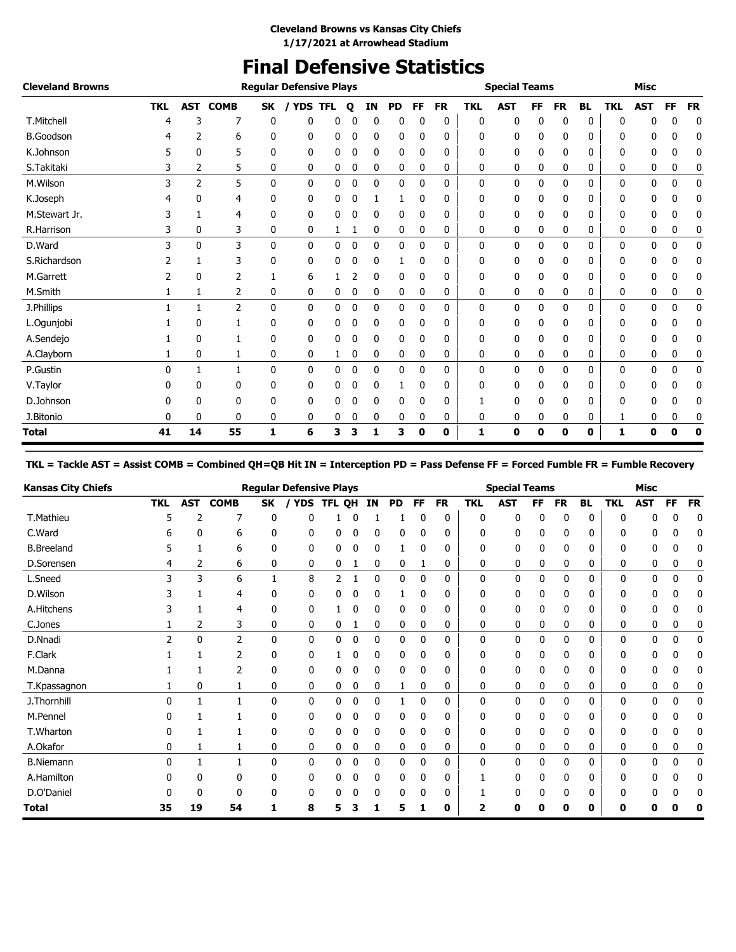## **Final Defensive Statistics**

| <b>Cleveland Browns</b> |            |    |                 |              | <b>Regular Defensive Plays</b> |            |   |              |           |    |           |            | <b>Special Teams</b> |    |           |              |            | <b>Misc</b> |    |             |
|-------------------------|------------|----|-----------------|--------------|--------------------------------|------------|---|--------------|-----------|----|-----------|------------|----------------------|----|-----------|--------------|------------|-------------|----|-------------|
|                         | <b>TKL</b> |    | <b>AST COMB</b> | SK           | / YDS                          | <b>TFL</b> | Q | <b>IN</b>    | <b>PD</b> | FF | <b>FR</b> | <b>TKL</b> | <b>AST</b>           | FF | <b>FR</b> | <b>BL</b>    | <b>TKL</b> | <b>AST</b>  | FF | <b>FR</b>   |
| T.Mitchell              | 4          | 3  | 7               | 0            | 0                              | 0          | 0 | 0            | 0         | 0  | 0         | 0          | 0                    | 0  | 0         | 0            | 0          | 0           | 0  | 0           |
| <b>B.Goodson</b>        |            | 2  | 6               | 0            | 0                              | 0          | 0 | 0            | 0         | 0  | 0         | 0          | 0                    | 0  | 0         | 0            | ŋ          | 0           | ŋ  | 0           |
| K.Johnson               |            | 0  | 5               | 0            | 0                              | 0          | 0 | 0            | 0         | 0  | 0         | 0          | 0                    | 0  | 0         | 0            | 0          | 0           | 0  | 0           |
| S.Takitaki              | 3          | 2  | 5               | 0            | 0                              | 0          | 0 | 0            | 0         | 0  | 0         | 0          | 0                    | 0  | 0         | 0            | 0          | 0           | 0  | 0           |
| M.Wilson                | 3          | 2  | 5               | $\mathbf{0}$ | $\mathbf{0}$                   | 0          | 0 | 0            | 0         | 0  | 0         | 0          | 0                    | 0  | 0         | 0            | 0          | 0           | 0  | 0           |
| K.Joseph                | 4          | 0  | 4               | 0            | 0                              | 0          | 0 | 1            | 1         | 0  | 0         | 0          | 0                    | 0  | 0         | 0            | 0          | 0           | 0  | 0           |
| M.Stewart Jr.           | 3          |    | 4               | 0            | 0                              | 0          | 0 | 0            | 0         | 0  | 0         | 0          | 0                    | 0  | 0         | 0            | 0          | 0           | 0  | 0           |
| R.Harrison              | 3          | 0  | 3               | 0            | 0                              | 1          | 1 | 0            | 0         | 0  | 0         | 0          | 0                    | 0  | 0         | 0            | 0          | 0           | 0  | 0           |
| D.Ward                  | 3          | 0  | 3               | $\mathbf{0}$ | 0                              | 0          | 0 | $\mathbf{0}$ | 0         | 0  | 0         | 0          | $\mathbf{0}$         | 0  | 0         | 0            | 0          | 0           | 0  | 0           |
| S.Richardson            |            | 1  | 3               | 0            | 0                              | 0          | 0 | 0            |           | 0  | 0         | 0          | 0                    | 0  | 0         | 0            | 0          | 0           | 0  | 0           |
| M.Garrett               | 2          | 0  | 2               | 1            | 6                              |            | 2 | 0            | 0         | 0  | 0         | 0          | 0                    | 0  | 0         | 0            | 0          | 0           | 0  | 0           |
| M.Smith                 |            | 1  | 2               | 0            | 0                              | 0          | 0 | 0            | 0         | 0  | 0         | 0          | 0                    | 0  | 0         | 0            | 0          | 0           | 0  | 0           |
| J.Phillips              |            | 1  | $\overline{2}$  | $\mathbf{0}$ | 0                              | 0          | 0 | 0            | 0         | 0  | 0         | 0          | 0                    | 0  | 0         | $\mathbf{0}$ | 0          | 0           | 0  | 0           |
| L.Ogunjobi              |            | 0  |                 | 0            | 0                              | 0          | ۵ | $\mathbf{0}$ | 0         | 0  | 0         | 0          | 0                    | 0  | 0         | 0            | 0          | 0           | 0  | 0           |
| A.Sendejo               |            | 0  |                 | 0            | 0                              | 0          | 0 | 0            | 0         | 0  | 0         | 0          | 0                    | 0  | 0         | 0            | 0          | 0           | 0  | 0           |
| A.Clayborn              |            | 0  | 1               | 0            | 0                              | 1          | 0 | 0            | 0         | 0  | 0         | 0          | 0                    | 0  | 0         | 0            | 0          | 0           | 0  | 0           |
| P.Gustin                | 0          | 1  | 1               | $\mathbf{0}$ | 0                              | 0          | 0 | 0            | 0         | 0  | 0         | 0          | 0                    | 0  | 0         | 0            | 0          | 0           | 0  | $\mathbf 0$ |
| V.Taylor                | 0          | 0  | 0               | 0            | 0                              | 0          | 0 | 0            |           | 0  | 0         | 0          | 0                    | 0  | 0         | 0            | 0          | 0           | 0  | 0           |
| D.Johnson               |            | ŋ  | 0               | 0            | 0                              | 0          |   |              | 0         | 0  | 0         |            | 0                    | 0  | 0         | 0            | 0          | 0           | 0  | 0           |
| J.Bitonio               | 0          | 0  | 0               | 0            | 0                              | 0          | 0 | 0            | 0         | 0  | 0         | 0          | 0                    | 0  | 0         | 0            | 1          | 0           | 0  | 0           |
| <b>Total</b>            | 41         | 14 | 55              | 1            | 6                              | 3          | з | 1            | 3         | 0  | 0         | 1          | 0                    | 0  | 0         | 0            | 1          | 0           | 0  | 0           |

### **TKL = Tackle AST = Assist COMB = Combined QH=QB Hit IN = Interception PD = Pass Defense FF = Forced Fumble FR = Fumble Recovery**

| <b>Kansas City Chiefs</b> |            |     |                |           | <b>Regular Defensive Plays</b> |            |           |    |    |    |           |              | <b>Special Teams</b> |     |              |           |              | <b>Misc</b> |    |           |
|---------------------------|------------|-----|----------------|-----------|--------------------------------|------------|-----------|----|----|----|-----------|--------------|----------------------|-----|--------------|-----------|--------------|-------------|----|-----------|
|                           | <b>TKL</b> | AST | <b>COMB</b>    | <b>SK</b> | <b>YDS</b>                     | <b>TFL</b> | <b>OH</b> | ΙN | PD | FF | <b>FR</b> | <b>TKL</b>   | <b>AST</b>           | FF. | <b>FR</b>    | <b>BL</b> | <b>TKL</b>   | <b>AST</b>  | FF | <b>FR</b> |
| T.Mathieu                 | 5          |     | 7              | 0         | 0                              |            | 0         |    |    | 0  | 0         | $\mathbf 0$  | 0                    | 0   | 0            | 0         | በ            |             | 0  | 0         |
| C.Ward                    | h          | ŋ   | 6              | 0         | 0                              | 0          | 0         | 0  | 0  | 0  | 0         | 0            | 0                    | 0   | O            | n         |              |             |    | 0         |
| <b>B.Breeland</b>         | 5          |     | 6              | 0         | 0                              | 0          | 0         | 0  |    | 0  | 0         | 0            | 0                    | 0   | 0            | 0         |              |             |    | 0         |
| D.Sorensen                | 4          | 2   | 6              | 0         | 0                              | 0          | 1         | 0  | 0  | 1  | 0         | 0            | 0                    | 0   | 0            | 0         | 0            | 0           | 0  | 0         |
| L.Sneed                   | 3          | 3   | 6              | 1         | 8                              |            |           | 0  | 0  | 0  | 0         | $\mathbf 0$  | 0                    | 0   | $\mathbf{0}$ | 0         | $\mathbf{0}$ | 0           | 0  | 0         |
| D.Wilson                  |            |     | 4              | 0         | 0                              |            | 0         | 0  |    | O  | 0         | 0            | 0                    | 0   | 0            | 0         | 0            |             |    | 0         |
| A.Hitchens                |            |     | 4              | 0         | 0                              |            | 0         | 0  | 0  | 0  | 0         | 0            | 0                    | 0   | 0            | 0         | n            |             | o  | 0         |
| C.Jones                   |            | 2   | 3              | 0         | 0                              | 0          |           | 0  | 0  | 0  | 0         | $\mathbf 0$  | 0                    | 0   | 0            | 0         | 0            | 0           | 0  | 0         |
| D.Nnadi                   | っ          | 0   | $\overline{2}$ | 0         | 0                              | 0          | 0         | 0  | 0  | 0  | 0         | $\mathbf{0}$ | 0                    | 0   | $\Omega$     | 0         | 0            | 0           | 0  | 0         |
| F.Clark                   |            |     |                | 0         | 0                              |            | 0         | 0  | 0  | 0  | 0         | 0            | 0                    | 0   | 0            | 0         | 0            | 0           |    | 0         |
| M.Danna                   |            |     | 2              | 0         | 0                              | 0          | 0         | 0  | 0  | 0  | 0         | 0            | 0                    | 0   | 0            | 0         | Ω            | 0           |    | 0         |
| T.Kpassagnon              |            | 0   |                | 0         | 0                              | 0          | 0         | 0  |    | 0  | 0         | 0            | 0                    | 0   | 0            | 0         | 0            | 0           | 0  |           |
| J.Thornhill               | 0          |     |                | 0         | 0                              | 0          | 0         | 0  |    | 0  | 0         | $\mathbf 0$  | 0                    | 0   | $\mathbf{0}$ | 0         | 0            | 0           | 0  | 0         |
| M.Pennel                  | n          |     |                | 0         | 0                              | 0          | 0         | 0  | 0  | 0  | 0         | 0            | 0                    | 0   | 0            | 0         | 0            | 0           |    | 0         |
| T.Wharton                 | n          |     |                | 0         | 0                              | 0          | 0         | 0  | 0  | 0  | 0         | 0            | 0                    | 0   | 0            | 0         | O            |             | o  |           |
| A.Okafor                  | 0          |     |                | 0         | 0                              | 0          | 0         | 0  | 0  | 0  | 0         | 0            | 0                    | 0   | 0            | 0         | 0            | 0           | 0  | 0         |
| <b>B.Niemann</b>          | 0          |     |                | 0         | 0                              | 0          | 0         | 0  | 0  | 0  | 0         | 0            | 0                    | 0   | 0            | 0         | 0            | 0           | 0  | 0         |
| A.Hamilton                |            | 0   | 0              | 0         | 0                              | 0          | 0         | 0  | 0  | 0  | 0         |              | 0                    | 0   | 0            | 0         | O            | 0           |    | 0         |
| D.O'Daniel                |            |     | O              |           | 0                              |            | 0         |    | 0  | 0  | 0         |              | 0                    | 0   | 0            |           |              |             |    |           |
| <b>Total</b>              | 35         | 19  | 54             |           | 8                              |            |           |    |    |    | 0         | 2            | ŋ                    |     | U            | 0         |              |             |    | O         |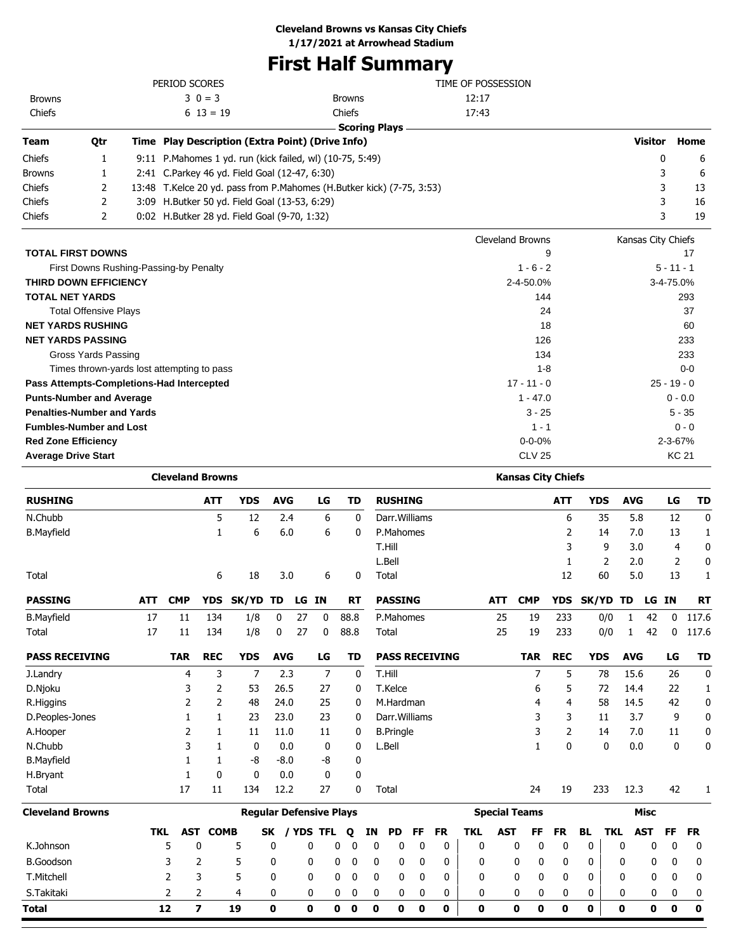## **First Half Summary**

|                                           |                                            |            |                         |              |                                                          |              |    |              |               | n se rian Sammary                                                     |                         |                           |                |                |                    |                |                |             |
|-------------------------------------------|--------------------------------------------|------------|-------------------------|--------------|----------------------------------------------------------|--------------|----|--------------|---------------|-----------------------------------------------------------------------|-------------------------|---------------------------|----------------|----------------|--------------------|----------------|----------------|-------------|
|                                           |                                            |            | PERIOD SCORES           |              |                                                          |              |    |              |               |                                                                       | TIME OF POSSESSION      |                           |                |                |                    |                |                |             |
| <b>Browns</b>                             |                                            |            |                         | $30 = 3$     |                                                          |              |    |              | <b>Browns</b> |                                                                       | 12:17                   |                           |                |                |                    |                |                |             |
| Chiefs                                    |                                            |            |                         | $613 = 19$   |                                                          |              |    |              | Chiefs        |                                                                       | 17:43                   |                           |                |                |                    |                |                |             |
|                                           |                                            |            |                         |              |                                                          |              |    |              |               | <b>Scoring Plays</b>                                                  |                         |                           |                |                |                    |                |                |             |
| <b>Team</b>                               | Qtr                                        |            |                         |              | Time Play Description (Extra Point) (Drive Info)         |              |    |              |               |                                                                       |                         |                           |                |                |                    | <b>Visitor</b> |                | Home        |
| Chiefs                                    | 1                                          |            |                         |              | 9:11 P.Mahomes 1 yd. run (kick failed, wl) (10-75, 5:49) |              |    |              |               |                                                                       |                         |                           |                |                |                    | 0              |                | 6           |
| <b>Browns</b>                             | 1                                          |            |                         |              | 2:41 C.Parkey 46 yd. Field Goal (12-47, 6:30)            |              |    |              |               |                                                                       |                         |                           |                |                |                    | 3              |                | 6           |
| Chiefs                                    | 2                                          |            |                         |              |                                                          |              |    |              |               | 13:48 T.Kelce 20 yd. pass from P.Mahomes (H.Butker kick) (7-75, 3:53) |                         |                           |                |                |                    | 3              |                | 13          |
| Chiefs                                    | $\overline{2}$                             |            |                         |              | 3:09 H.Butker 50 yd. Field Goal (13-53, 6:29)            |              |    |              |               |                                                                       |                         |                           |                |                |                    | 3              |                | 16          |
| Chiefs                                    | $\overline{2}$                             |            |                         |              | 0:02 H.Butker 28 yd. Field Goal (9-70, 1:32)             |              |    |              |               |                                                                       |                         |                           |                |                |                    | 3              |                | 19          |
|                                           |                                            |            |                         |              |                                                          |              |    |              |               |                                                                       | <b>Cleveland Browns</b> |                           |                |                | Kansas City Chiefs |                |                |             |
| <b>TOTAL FIRST DOWNS</b>                  |                                            |            |                         |              |                                                          |              |    |              |               |                                                                       |                         |                           | 9              |                |                    |                |                | 17          |
|                                           | First Downs Rushing-Passing-by Penalty     |            |                         |              |                                                          |              |    |              |               |                                                                       |                         | $1 - 6 - 2$               |                |                |                    |                | $5 - 11 - 1$   |             |
| THIRD DOWN EFFICIENCY                     |                                            |            |                         |              |                                                          |              |    |              |               |                                                                       |                         | 2-4-50.0%                 |                |                |                    |                | 3-4-75.0%      |             |
| <b>TOTAL NET YARDS</b>                    |                                            |            |                         |              |                                                          |              |    |              |               |                                                                       |                         | 144                       |                |                |                    |                |                | 293         |
|                                           | <b>Total Offensive Plays</b>               |            |                         |              |                                                          |              |    |              |               |                                                                       |                         | 24                        |                |                |                    |                | 37             |             |
| <b>NET YARDS RUSHING</b>                  |                                            |            |                         |              |                                                          |              |    |              | 18            |                                                                       |                         |                           |                | 60             |                    |                |                |             |
|                                           | <b>NET YARDS PASSING</b>                   |            |                         |              |                                                          |              |    | 126          |               |                                                                       |                         |                           |                | 233            |                    |                |                |             |
|                                           | Gross Yards Passing                        |            |                         |              |                                                          |              |    |              |               |                                                                       |                         | 134                       |                |                |                    |                |                | 233         |
|                                           | Times thrown-yards lost attempting to pass |            |                         |              |                                                          |              |    |              |               |                                                                       |                         | $1 - 8$                   |                |                |                    |                |                | $0 - 0$     |
| Pass Attempts-Completions-Had Intercepted |                                            |            |                         |              |                                                          |              |    |              |               |                                                                       |                         | $17 - 11 - 0$             |                |                |                    |                | $25 - 19 - 0$  |             |
| <b>Punts-Number and Average</b>           |                                            |            |                         |              |                                                          |              |    |              |               |                                                                       |                         | $1 - 47.0$                |                |                |                    |                | $0 - 0.0$      |             |
| <b>Penalties-Number and Yards</b>         |                                            |            |                         |              |                                                          |              |    |              |               |                                                                       |                         | $3 - 25$                  |                |                |                    |                | $5 - 35$       |             |
| <b>Fumbles-Number and Lost</b>            |                                            |            |                         |              |                                                          |              |    |              |               |                                                                       |                         | $1 - 1$                   |                |                |                    |                | $0 - 0$        |             |
| <b>Red Zone Efficiency</b>                |                                            |            |                         |              |                                                          |              |    |              |               |                                                                       |                         | $0 - 0 - 0%$              |                |                |                    |                | 2-3-67%        |             |
| <b>Average Drive Start</b>                |                                            |            |                         |              |                                                          |              |    |              |               |                                                                       |                         | <b>CLV 25</b>             |                |                |                    |                | <b>KC 21</b>   |             |
|                                           |                                            |            | <b>Cleveland Browns</b> |              |                                                          |              |    |              |               |                                                                       |                         | <b>Kansas City Chiefs</b> |                |                |                    |                |                |             |
| <b>RUSHING</b>                            |                                            |            |                         | <b>ATT</b>   | <b>YDS</b>                                               | <b>AVG</b>   |    | LG           | TD            | <b>RUSHING</b>                                                        |                         |                           | <b>ATT</b>     | <b>YDS</b>     | <b>AVG</b>         |                | LG             | <b>TD</b>   |
| N.Chubb                                   |                                            |            |                         | 5            | 12                                                       | 2.4          |    | 6            | 0             | Darr. Williams                                                        |                         |                           | 6              | 35             | 5.8                |                | 12             | $\bf{0}$    |
| <b>B.Mayfield</b>                         |                                            |            |                         | $\mathbf{1}$ | 6                                                        | 6.0          |    | 6            | $\mathbf{0}$  | P.Mahomes                                                             |                         |                           | $\overline{2}$ | 14             | 7.0                |                | 13             | 1           |
|                                           |                                            |            |                         |              |                                                          |              |    |              |               | T.Hill                                                                |                         |                           | 3              | 9              | 3.0                |                | $\overline{4}$ | $\mathbf 0$ |
|                                           |                                            |            |                         |              |                                                          |              |    |              |               | L.Bell                                                                |                         |                           | $\mathbf{1}$   | $\overline{2}$ | 2.0                |                | 2              | 0           |
| Total                                     |                                            |            |                         | 6            | 18                                                       | 3.0          |    | 6            | $\mathbf{0}$  | Total                                                                 |                         |                           | 12             | 60             | 5.0                |                | 13             | 1           |
| <b>PASSING</b>                            |                                            | <b>ATT</b> | <b>CMP</b>              |              | YDS SK/YD                                                | TD.          |    | LG IN        | RT            | <b>PASSING</b>                                                        | <b>ATT</b>              | <b>CMP</b>                | <b>YDS</b>     | <b>SK/YD</b>   | TD.                | LG IN          |                | <b>RT</b>   |
| <b>B.Mayfield</b>                         |                                            | 17         | 11                      | 134          | 1/8                                                      | 0            | 27 | $\mathbf{0}$ | 88.8          | P.Mahomes                                                             | 25                      | 19                        | 233            | 0/0            | 1                  | 42             | 0              | 117.6       |
| Total                                     |                                            | 17         | 11                      | 134          | 1/8                                                      | $\mathbf{0}$ | 27 | $\mathbf{0}$ | 88.8          | Total                                                                 | 25                      | 19                        | 233            | 0/0            | $\mathbf{1}$       | 42             | 0              | 117.6       |

| <b>PASS RECEIVING</b>   |     | <b>TAR</b> | <b>REC</b>  | <b>YDS</b>                     | <b>AVG</b> |            | LG         | TD |    |                  |              | <b>PASS RECEIVING</b> |            |                      | <b>TAR</b> | <b>REC</b> | <b>YDS</b> |              | <b>AVG</b>  | LG       | TD        |
|-------------------------|-----|------------|-------------|--------------------------------|------------|------------|------------|----|----|------------------|--------------|-----------------------|------------|----------------------|------------|------------|------------|--------------|-------------|----------|-----------|
| J.Landry                |     | 4          | 3           | 7                              | 2.3        |            | 7          | 0  |    | T.Hill           |              |                       |            |                      | 7          | 5          |            | 78           | 15.6        | 26       | 0         |
| D.Njoku                 |     | 3          | 2           | 53                             | 26.5       |            | 27         | 0  |    | T.Kelce          |              |                       |            |                      | 6          | 5          |            | 72           | 14.4        | 22       |           |
| R.Higgins               |     |            | 2           | 48                             | 24.0       |            | 25         | 0  |    | M.Hardman        |              |                       |            |                      | 4          | 4          |            | 58           | 14.5        | 42       | 0         |
| D.Peoples-Jones         |     |            |             | 23                             | 23.0       |            | 23         | 0  |    | Darr. Williams   |              |                       |            |                      |            | 3          |            | 11           | 3.7         | 9        | 0         |
| A.Hooper                |     |            |             | 11                             | 11.0       |            | 11         | 0  |    | <b>B.Pringle</b> |              |                       |            |                      |            | 2          |            | 14           | 7.0         | 11       | 0         |
| N.Chubb                 |     | 3.         |             | 0                              | 0.0        |            | 0          | 0  |    | L.Bell           |              |                       |            |                      |            | 0          |            | 0            | 0.0         | 0        | ۵         |
| <b>B.Mayfield</b>       |     |            |             | -8                             | $-8.0$     |            | -8         | 0  |    |                  |              |                       |            |                      |            |            |            |              |             |          |           |
| H.Bryant                |     |            | 0           | 0                              | 0.0        |            | 0          | 0  |    |                  |              |                       |            |                      |            |            |            |              |             |          |           |
| Total                   |     | 17         | 11          | 134                            | 12.2       |            | 27         | 0  |    | Total            |              |                       |            |                      | 24         | 19         |            | 233          | 12.3        | 42       |           |
| <b>Cleveland Browns</b> |     |            |             | <b>Regular Defensive Plays</b> |            |            |            |    |    |                  |              |                       |            | <b>Special Teams</b> |            |            |            |              | <b>Misc</b> |          |           |
|                         | TKL | AST        | <b>COMB</b> |                                | SK         | <b>YDS</b> | <b>TFL</b> | Q  | ΙN | PD.              | FF           | <b>FR</b>             | <b>TKL</b> | <b>AST</b>           | FF         | <b>FR</b>  | <b>BL</b>  | TKL          | <b>AST</b>  | FF       | <b>FR</b> |
| K.Johnson               | 5   | 0          | 5           |                                | 0          | 0          | 0          | 0  | 0  | 0                | $\mathbf{0}$ | 0                     | 0          | 0                    | 0          | 0          | 0          | 0            | 0           | $\Omega$ | 0         |
| <b>B.Goodson</b>        | 3   | 2          | 5           |                                | 0          | 0          | 0          | 0  | 0  | 0                | $\mathbf{0}$ | 0                     | 0          | 0                    | 0          | 0          | 0          | $\mathbf{0}$ | 0           | 0        | 0         |
| T.Mitchell              | 2   | 3          | 5           |                                | 0          | 0          | 0          | 0  | 0  | 0                | 0            | 0                     | 0          | 0                    | 0          | 0          | 0          | $\mathbf{0}$ | 0           | 0        | 0         |
| S.Takitaki              |     | 2          | 4           |                                | 0          | 0          | 0          | 0  | 0  | 0                | 0            | 0                     | 0          | 0                    | 0          | 0          | 0          | 0            | 0           | 0        | 0         |
| Total                   | 12  | 7          | 19          |                                | 0          | 0          | o          | 0  | 0  | 0                | 0            | 0                     | 0          | 0                    | 0          | 0          | 0          | 0            | 0           | 0        | 0         |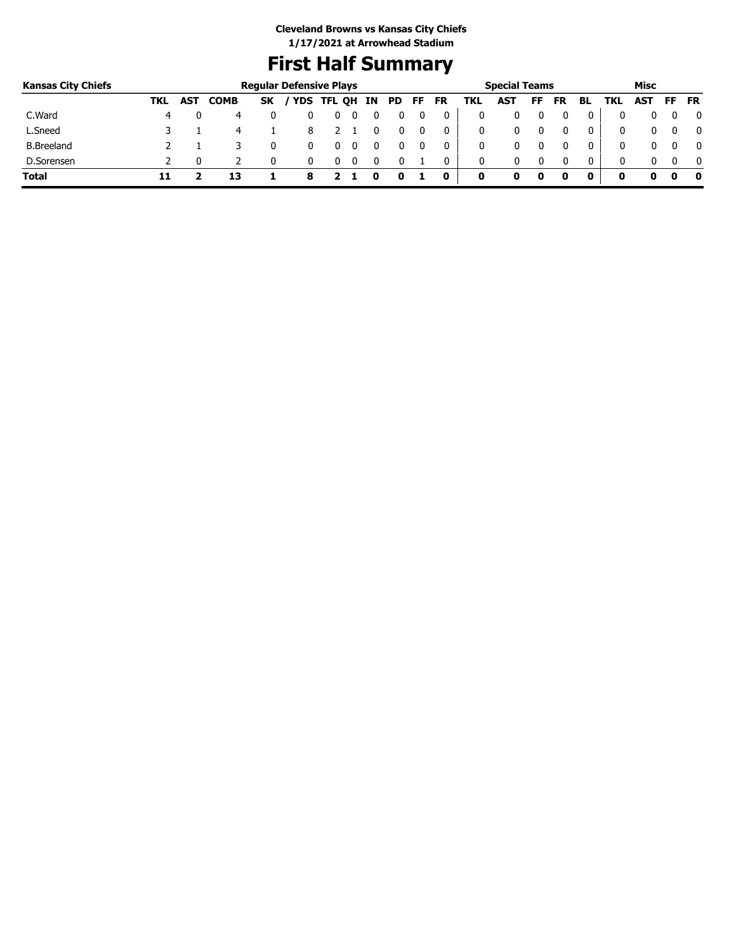# **First Half Summary**

| <b>Kansas City Chiefs</b> |     |            |             | <b>Regular Defensive Plays</b> |   |               |  |     |     |           |     | <b>Special Teams</b> |    |           |    |     | Misc       |          |           |
|---------------------------|-----|------------|-------------|--------------------------------|---|---------------|--|-----|-----|-----------|-----|----------------------|----|-----------|----|-----|------------|----------|-----------|
|                           | TKL | <b>AST</b> | <b>COMB</b> | <b>SK</b>                      |   | YDS TFL QH IN |  | PD. | FF. | <b>FR</b> | TKL | AST                  | FF | <b>FR</b> | BL | TKL | <b>AST</b> | FF.      | <b>FR</b> |
| C.Ward                    | 4   |            |             |                                |   |               |  |     |     |           | 0   |                      |    |           |    |     |            |          |           |
| Sneed…                    |     |            | 4           |                                |   |               |  |     |     |           | 0   |                      |    |           |    |     | 0          |          |           |
| <b>B.Breeland</b>         |     |            |             |                                |   |               |  |     |     |           | 0   |                      |    |           |    | 0   |            |          |           |
| D.Sorensen                |     |            |             |                                |   |               |  |     |     |           | 0   | 0                    |    |           | 0  | 0   | 0.         | $\Omega$ |           |
| <b>Total</b>              |     |            |             |                                | 8 |               |  |     |     | 0         | 0   |                      |    |           | 0  | 0   |            | o        |           |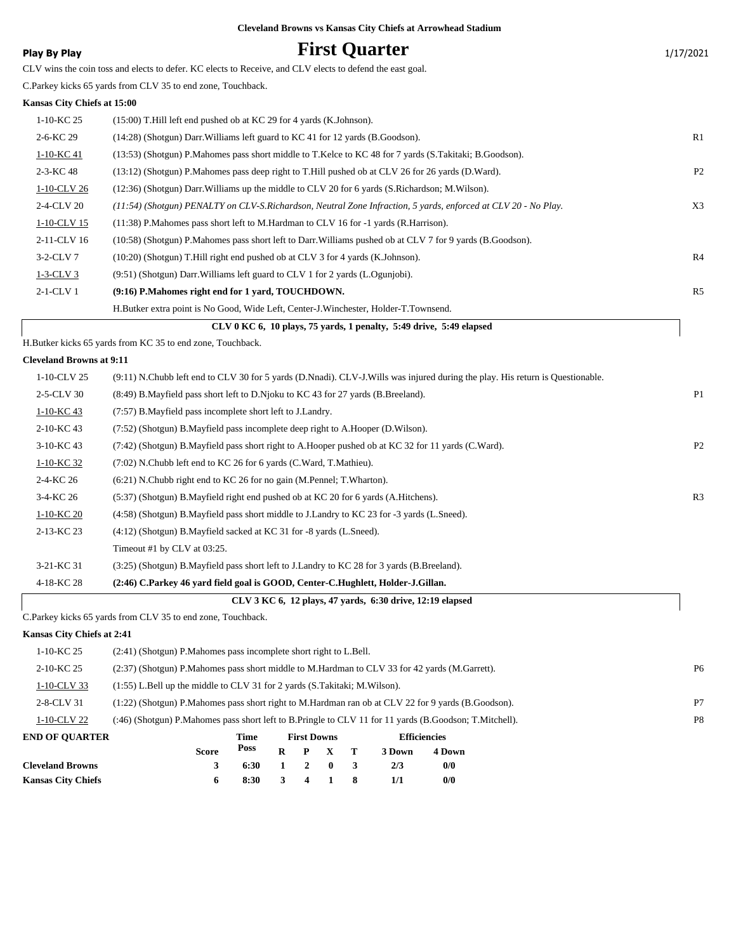## **Play By Play First Quarter** 1/17/2021

CLV wins the coin toss and elects to defer. KC elects to Receive, and CLV elects to defend the east goal.

C.Parkey kicks 65 yards from CLV 35 to end zone, Touchback.

### **Kansas City Chiefs at 15:00**

| 1-10-KC 25     | $(15:00)$ T.Hill left end pushed ob at KC 29 for 4 yards (K.Johnson).                                            |                |
|----------------|------------------------------------------------------------------------------------------------------------------|----------------|
| 2-6-KC 29      | (14:28) (Shotgun) Darr. Williams left guard to KC 41 for 12 yards (B. Goodson).                                  | R1             |
| 1-10-KC 41     | (13:53) (Shotgun) P. Mahomes pass short middle to T. Kelce to KC 48 for 7 yards (S. Takitaki; B. Goodson).       |                |
| $2-3-KC$ 48    | (13:12) (Shotgun) P.Mahomes pass deep right to T.Hill pushed ob at CLV 26 for 26 yards (D.Ward).                 | P <sub>2</sub> |
| 1-10-CLV 26    | (12:36) (Shotgun) Darr. Williams up the middle to CLV 20 for 6 yards (S. Richardson; M. Wilson).                 |                |
| 2-4-CLV 20     | $(11.54)$ (Shotgun) PENALTY on CLV-S.Richardson, Neutral Zone Infraction, 5 yards, enforced at CLV 20 - No Play. | X3             |
| 1-10-CLV 15    | (11:38) P. Mahomes pass short left to M. Hardman to CLV 16 for -1 yards (R. Harrison).                           |                |
| 2-11-CLV 16    | (10:58) (Shotgun) P.Mahomes pass short left to Darr. Williams pushed ob at CLV 7 for 9 yards (B.Goodson).        |                |
| $3-2$ -CLV $7$ | $(10:20)$ (Shotgun) T. Hill right end pushed ob at CLV 3 for 4 yards (K. Johnson).                               | R4             |
| $1-3-CLV3$     | (9:51) (Shotgun) Darr. Williams left guard to CLV 1 for 2 yards (L.Ogunjobi).                                    |                |
| $2-1-CLV$ 1    | (9:16) P.Mahomes right end for 1 vard, TOUCHDOWN.                                                                | R <sub>5</sub> |
|                | H. Butker extra point is No Good, Wide Left, Center-J. Winchester, Holder-T. Townsend.                           |                |
|                | CLV 0 KC 6, 10 plays, 75 yards, 1 penalty, 5:49 drive, 5:49 elapsed                                              |                |

H.Butker kicks 65 yards from KC 35 to end zone, Touchback.

### **Cleveland Browns at 9:11**

|             | CLV 3 KC 6, 12 plays, 47 yards, 6:30 drive, 12:19 elapsed                                                                     |                |  |  |  |  |  |  |
|-------------|-------------------------------------------------------------------------------------------------------------------------------|----------------|--|--|--|--|--|--|
| 4-18-KC 28  | (2:46) C.Parkey 46 yard field goal is GOOD, Center-C.Hughlett, Holder-J.Gillan.                                               |                |  |  |  |  |  |  |
| 3-21-KC 31  | (3:25) (Shotgun) B. Mayfield pass short left to J. Landry to KC 28 for 3 yards (B. Breeland).                                 |                |  |  |  |  |  |  |
|             | Timeout #1 by CLV at 03:25.                                                                                                   |                |  |  |  |  |  |  |
| 2-13-KC 23  | $(4:12)$ (Shotgun) B.Mayfield sacked at KC 31 for -8 yards (L.Sneed).                                                         |                |  |  |  |  |  |  |
| $1-10-KC20$ | (4:58) (Shotgun) B.Mayfield pass short middle to J.Landry to KC 23 for -3 yards (L.Sneed).                                    |                |  |  |  |  |  |  |
| 3-4-KC 26   | (5:37) (Shotgun) B.Mayfield right end pushed ob at KC 20 for 6 yards (A.Hitchens).                                            | R <sub>3</sub> |  |  |  |  |  |  |
| 2-4-KC 26   | $(6:21)$ N.Chubb right end to KC 26 for no gain (M.Pennel; T.Wharton).                                                        |                |  |  |  |  |  |  |
| 1-10-KC 32  | (7:02) N.Chubb left end to KC 26 for 6 yards (C.Ward, T.Mathieu).                                                             |                |  |  |  |  |  |  |
| 3-10-KC 43  | (7:42) (Shotgun) B.Mayfield pass short right to A.Hooper pushed ob at KC 32 for 11 yards (C.Ward).                            | P <sub>2</sub> |  |  |  |  |  |  |
| 2-10-KC 43  | (7:52) (Shotgun) B.Mayfield pass incomplete deep right to A.Hooper (D.Wilson).                                                |                |  |  |  |  |  |  |
| 1-10-KC 43  | (7:57) B. Mayfield pass incomplete short left to J. Landry.                                                                   |                |  |  |  |  |  |  |
| 2-5-CLV 30  | (8.49) B. Mayfield pass short left to D. Njoku to KC 43 for 27 yards (B. Breeland).                                           | P <sub>1</sub> |  |  |  |  |  |  |
| 1-10-CLV 25 | (9:11) N.Chubb left end to CLV 30 for 5 yards (D.Nnadi). CLV-J.Wills was injured during the play. His return is Questionable. |                |  |  |  |  |  |  |
|             |                                                                                                                               |                |  |  |  |  |  |  |

C.Parkey kicks 65 yards from CLV 35 to end zone, Touchback.

**Kansas City Chiefs at 2:41**

| 1-10-KC 25                |                                                                                                        | (2:41) (Shotgun) P. Mahomes pass incomplete short right to L. Bell.                                      |             |   |                    |              |     |        |                     |  |  |                |  |  |  |
|---------------------------|--------------------------------------------------------------------------------------------------------|----------------------------------------------------------------------------------------------------------|-------------|---|--------------------|--------------|-----|--------|---------------------|--|--|----------------|--|--|--|
| 2-10-KC 25                | (2:37) (Shotgun) P. Mahomes pass short middle to M. Hardman to CLV 33 for 42 yards (M. Garrett).       |                                                                                                          |             |   |                    |              |     |        |                     |  |  | P <sub>6</sub> |  |  |  |
| 1-10-CLV 33               |                                                                                                        | $(1:55)$ L.Bell up the middle to CLV 31 for 2 yards $(S.Takitaki; M.Wilson)$ .                           |             |   |                    |              |     |        |                     |  |  |                |  |  |  |
| 2-8-CLV 31                |                                                                                                        | P7<br>(1:22) (Shotgun) P.Mahomes pass short right to M.Hardman ran ob at CLV 22 for 9 yards (B.Goodson). |             |   |                    |              |     |        |                     |  |  |                |  |  |  |
| 1-10-CLV 22               | (:46) (Shotgun) P.Mahomes pass short left to B.Pringle to CLV 11 for 11 yards (B.Goodson; T.Mitchell). |                                                                                                          |             |   |                    |              |     |        |                     |  |  | P <sub>8</sub> |  |  |  |
| <b>END OF OUARTER</b>     |                                                                                                        |                                                                                                          | <b>Time</b> |   | <b>First Downs</b> |              |     |        | <b>Efficiencies</b> |  |  |                |  |  |  |
|                           |                                                                                                        | <b>Score</b>                                                                                             | <b>Poss</b> | R | P                  | x            | т   | 3 Down | 4 Down              |  |  |                |  |  |  |
| <b>Cleveland Browns</b>   |                                                                                                        |                                                                                                          | 6:30        |   | 2                  | $\mathbf{0}$ | 3   | 2/3    | 0/0                 |  |  |                |  |  |  |
| <b>Kansas City Chiefs</b> | 0                                                                                                      | 8:30                                                                                                     | 3           | 4 |                    | 8            | 1/1 | 0/0    |                     |  |  |                |  |  |  |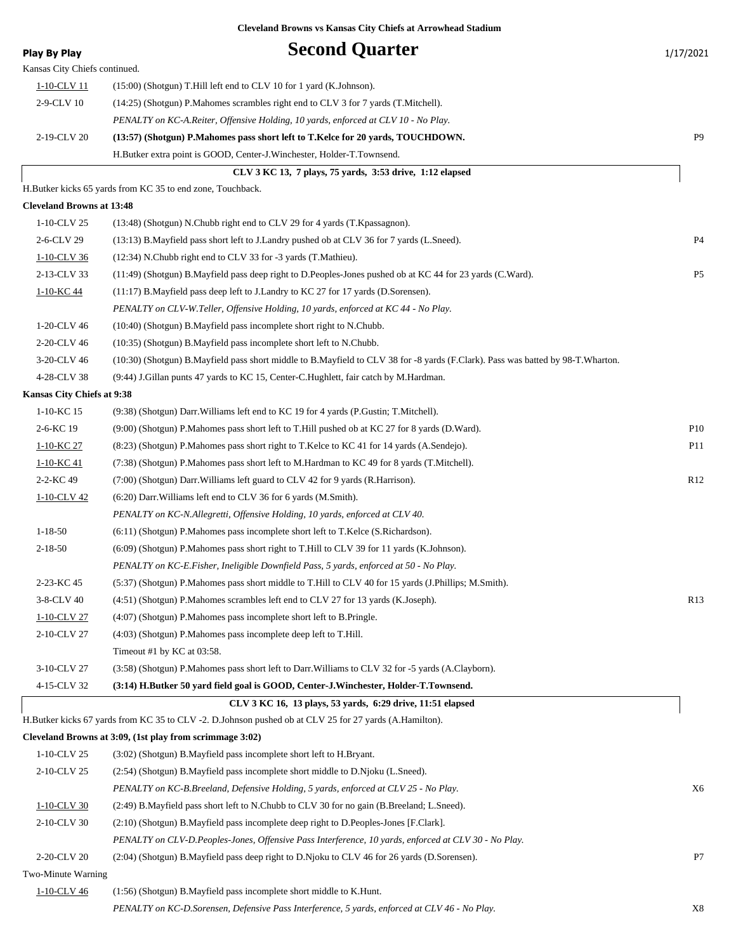| <b>Play By Play</b>               | <b>Second Quarter</b>                                                                                                           | 1/17/2021       |
|-----------------------------------|---------------------------------------------------------------------------------------------------------------------------------|-----------------|
| Kansas City Chiefs continued.     |                                                                                                                                 |                 |
| 1-10-CLV 11                       | $(15:00)$ (Shotgun) T. Hill left end to CLV 10 for 1 yard (K. Johnson).                                                         |                 |
| 2-9-CLV 10                        | (14:25) (Shotgun) P.Mahomes scrambles right end to CLV 3 for 7 yards (T.Mitchell).                                              |                 |
|                                   | PENALTY on KC-A.Reiter, Offensive Holding, 10 yards, enforced at CLV 10 - No Play.                                              |                 |
| 2-19-CLV 20                       | (13:57) (Shotgun) P.Mahomes pass short left to T.Kelce for 20 yards, TOUCHDOWN.                                                 | P <sub>9</sub>  |
|                                   | H. Butker extra point is GOOD, Center-J. Winchester, Holder-T. Townsend.                                                        |                 |
|                                   | CLV 3 KC 13, 7 plays, 75 yards, 3:53 drive, 1:12 elapsed                                                                        |                 |
|                                   | H.Butker kicks 65 yards from KC 35 to end zone, Touchback.                                                                      |                 |
| <b>Cleveland Browns at 13:48</b>  |                                                                                                                                 |                 |
| 1-10-CLV 25                       | (13:48) (Shotgun) N.Chubb right end to CLV 29 for 4 yards (T.Kpassagnon).                                                       |                 |
| 2-6-CLV 29                        | (13:13) B. Mayfield pass short left to J. Landry pushed ob at CLV 36 for 7 yards (L. Sneed).                                    | P <sub>4</sub>  |
| 1-10-CLV 36                       | (12:34) N.Chubb right end to CLV 33 for -3 yards (T.Mathieu).                                                                   |                 |
| 2-13-CLV 33                       | (11:49) (Shotgun) B.Mayfield pass deep right to D.Peoples-Jones pushed ob at KC 44 for 23 yards (C.Ward).                       | P <sub>5</sub>  |
| 1-10-KC 44                        | (11:17) B. Mayfield pass deep left to J. Landry to KC 27 for 17 yards (D. Sorensen).                                            |                 |
|                                   | PENALTY on CLV-W.Teller, Offensive Holding, 10 yards, enforced at KC 44 - No Play.                                              |                 |
| 1-20-CLV 46                       | (10:40) (Shotgun) B. Mayfield pass incomplete short right to N. Chubb.                                                          |                 |
| 2-20-CLV 46                       | (10:35) (Shotgun) B. Mayfield pass incomplete short left to N. Chubb.                                                           |                 |
| 3-20-CLV 46                       | (10:30) (Shotgun) B.Mayfield pass short middle to B.Mayfield to CLV 38 for -8 yards (F.Clark). Pass was batted by 98-T.Wharton. |                 |
| 4-28-CLV 38                       | (9:44) J.Gillan punts 47 yards to KC 15, Center-C.Hughlett, fair catch by M.Hardman.                                            |                 |
| <b>Kansas City Chiefs at 9:38</b> |                                                                                                                                 |                 |
| $1-10-KC$ 15                      | (9.38) (Shotgun) Darr. Williams left end to KC 19 for 4 yards (P. Gustin; T. Mitchell).                                         |                 |
| 2-6-KC 19                         | (9:00) (Shotgun) P.Mahomes pass short left to T.Hill pushed ob at KC 27 for 8 yards (D.Ward).                                   | P <sub>10</sub> |
| 1-10-KC 27                        | (8.23) (Shotgun) P. Mahomes pass short right to T. Kelce to KC 41 for 14 yards (A. Sendejo).                                    | P <sub>11</sub> |
| 1-10-KC 41                        | (7:38) (Shotgun) P.Mahomes pass short left to M.Hardman to KC 49 for 8 yards (T.Mitchell).                                      |                 |
| 2-2-KC 49                         | (7:00) (Shotgun) Darr. Williams left guard to CLV 42 for 9 yards (R. Harrison).                                                 | R12             |
| 1-10-CLV 42                       | (6:20) Darr. Williams left end to CLV 36 for 6 yards (M.Smith).                                                                 |                 |
|                                   | PENALTY on KC-N.Allegretti, Offensive Holding, 10 yards, enforced at CLV 40.                                                    |                 |
| $1 - 18 - 50$                     | (6.11) (Shotgun) P.Mahomes pass incomplete short left to T.Kelce (S.Richardson).                                                |                 |
| $2 - 18 - 50$                     | (6:09) (Shotgun) P. Mahomes pass short right to T. Hill to CLV 39 for 11 yards (K. Johnson).                                    |                 |
|                                   | PENALTY on KC-E.Fisher, Ineligible Downfield Pass, 5 yards, enforced at 50 - No Play.                                           |                 |
| 2-23-KC 45                        | (5:37) (Shotgun) P.Mahomes pass short middle to T.Hill to CLV 40 for 15 yards (J.Phillips; M.Smith).                            |                 |
| 3-8-CLV 40                        | (4.51) (Shotgun) P.Mahomes scrambles left end to CLV 27 for 13 yards (K.Joseph).                                                | R <sub>13</sub> |
| 1-10-CLV 27                       | (4:07) (Shotgun) P.Mahomes pass incomplete short left to B.Pringle.                                                             |                 |
| 2-10-CLV 27                       | (4:03) (Shotgun) P.Mahomes pass incomplete deep left to T.Hill.                                                                 |                 |
|                                   | Timeout #1 by KC at 03:58.                                                                                                      |                 |
| 3-10-CLV 27                       | (3:58) (Shotgun) P.Mahomes pass short left to Darr. Williams to CLV 32 for -5 yards (A.Clayborn).                               |                 |
| 4-15-CLV 32                       | (3:14) H.Butker 50 yard field goal is GOOD, Center-J.Winchester, Holder-T.Townsend.                                             |                 |
|                                   | CLV 3 KC 16, 13 plays, 53 yards, 6:29 drive, 11:51 elapsed                                                                      |                 |
|                                   | H.Butker kicks 67 yards from KC 35 to CLV -2. D.Johnson pushed ob at CLV 25 for 27 yards (A.Hamilton).                          |                 |
|                                   | Cleveland Browns at 3:09, (1st play from scrimmage 3:02)                                                                        |                 |
| 1-10-CLV 25                       | (3:02) (Shotgun) B.Mayfield pass incomplete short left to H.Bryant.                                                             |                 |
| 2-10-CLV 25                       | (2.54) (Shotgun) B.Mayfield pass incomplete short middle to D.Njoku (L.Sneed).                                                  |                 |
|                                   | PENALTY on KC-B.Breeland, Defensive Holding, 5 yards, enforced at CLV 25 - No Play.                                             | X6              |
| $1-10$ -CLV 30                    | (2:49) B.Mayfield pass short left to N.Chubb to CLV 30 for no gain (B.Breeland; L.Sneed).                                       |                 |
| 2-10-CLV 30                       | (2:10) (Shotgun) B. Mayfield pass incomplete deep right to D. Peoples-Jones [F. Clark].                                         |                 |
|                                   | PENALTY on CLV-D.Peoples-Jones, Offensive Pass Interference, 10 yards, enforced at CLV 30 - No Play.                            |                 |
| 2-20-CLV 20                       | (2:04) (Shotgun) B.Mayfield pass deep right to D.Njoku to CLV 46 for 26 yards (D.Sorensen).                                     | P7              |
| Two-Minute Warning                |                                                                                                                                 |                 |
| $1-10$ -CLV 46                    | (1:56) (Shotgun) B.Mayfield pass incomplete short middle to K.Hunt.                                                             |                 |
|                                   | PENALTY on KC-D.Sorensen, Defensive Pass Interference, 5 yards, enforced at CLV 46 - No Play.                                   | X8              |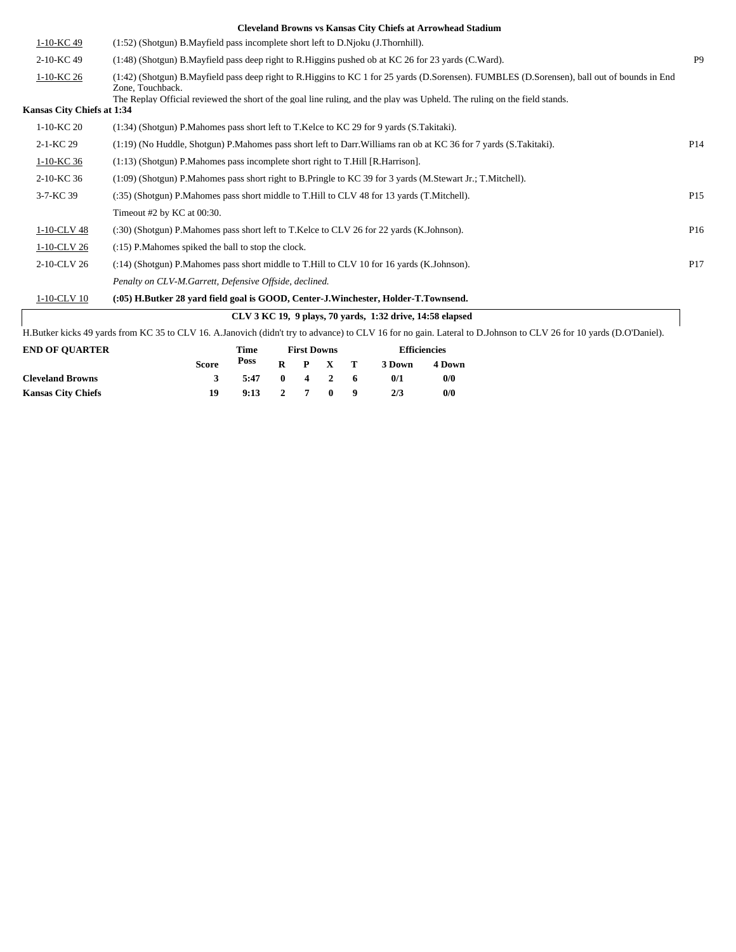|                            | <b>Cleveland Browns vs Kansas City Chiefs at Arrowhead Stadium</b>                                                                                                                                                                                                                          |                 |
|----------------------------|---------------------------------------------------------------------------------------------------------------------------------------------------------------------------------------------------------------------------------------------------------------------------------------------|-----------------|
| 1-10-KC 49                 | $(1:52)$ (Shotgun) B.Mayfield pass incomplete short left to D.Njoku (J.Thornhill).                                                                                                                                                                                                          |                 |
| 2-10-KC 49                 | (1:48) (Shotgun) B.Mayfield pass deep right to R.Higgins pushed ob at KC 26 for 23 yards (C.Ward).                                                                                                                                                                                          | <b>P9</b>       |
| 1-10-KC 26                 | (1:42) (Shotgun) B.Mayfield pass deep right to R.Higgins to KC 1 for 25 yards (D.Sorensen). FUMBLES (D.Sorensen), ball out of bounds in End<br>Zone, Touchback.<br>The Replay Official reviewed the short of the goal line ruling, and the play was Upheld. The ruling on the field stands. |                 |
| Kansas City Chiefs at 1:34 |                                                                                                                                                                                                                                                                                             |                 |
| 1-10-KC 20                 | (1:34) (Shotgun) P. Mahomes pass short left to T. Kelce to KC 29 for 9 yards (S. Takitaki).                                                                                                                                                                                                 |                 |
| 2-1-KC 29                  | (1:19) (No Huddle, Shotgun) P.Mahomes pass short left to Darr. Williams ran ob at KC 36 for 7 yards (S.Takitaki).                                                                                                                                                                           | P <sub>14</sub> |
| $1-10-KC$ 36               | $(1:13)$ (Shotgun) P.Mahomes pass incomplete short right to T.Hill [R.Harrison].                                                                                                                                                                                                            |                 |
| 2-10-KC 36                 | (1:09) (Shotgun) P. Mahomes pass short right to B. Pringle to KC 39 for 3 yards (M. Stewart Jr.; T. Mitchell).                                                                                                                                                                              |                 |
| 3-7-KC 39                  | (:35) (Shotgun) P.Mahomes pass short middle to T.Hill to CLV 48 for 13 yards (T.Mitchell).                                                                                                                                                                                                  | P <sub>15</sub> |
|                            | Timeout #2 by KC at $00:30$ .                                                                                                                                                                                                                                                               |                 |
| 1-10-CLV 48                | (:30) (Shotgun) P.Mahomes pass short left to T.Kelce to CLV 26 for 22 yards (K.Johnson).                                                                                                                                                                                                    | P <sub>16</sub> |
| $1-10$ -CLV 26             | (:15) P.Mahomes spiked the ball to stop the clock.                                                                                                                                                                                                                                          |                 |
| 2-10-CLV 26                | (:14) (Shotgun) P.Mahomes pass short middle to T.Hill to CLV 10 for 16 yards (K.Johnson).                                                                                                                                                                                                   | P17             |
|                            | Penalty on CLV-M.Garrett, Defensive Offside, declined.                                                                                                                                                                                                                                      |                 |
| 1-10-CLV 10                | (:05) H.Butker 28 vard field goal is GOOD, Center-J.Winchester, Holder-T.Townsend.                                                                                                                                                                                                          |                 |
|                            | CLV 3 KC 19, 9 plays, 70 yards, 1:32 drive, 14:58 elapsed                                                                                                                                                                                                                                   |                 |
|                            | H.Butker kicks 49 yards from KC 35 to CLV 16. A.Janovich (didn't try to advance) to CLV 16 for no gain. Lateral to D.Johnson to CLV 26 for 10 yards (D.O'Daniel).                                                                                                                           |                 |
| <b>END OF QUARTER</b>      | <b>Efficiencies</b><br><b>First Downs</b><br><b>Time</b><br>Poss<br>$\bf{R}$<br>4 Down<br><b>Score</b><br>P<br>X<br>т<br>3 Down                                                                                                                                                             |                 |

**Cleveland Browns 3 5:47 0 4 2 6 0/1 0/0 Kansas City Chiefs 19 9:13 2 7 0 9 2/3 0/0**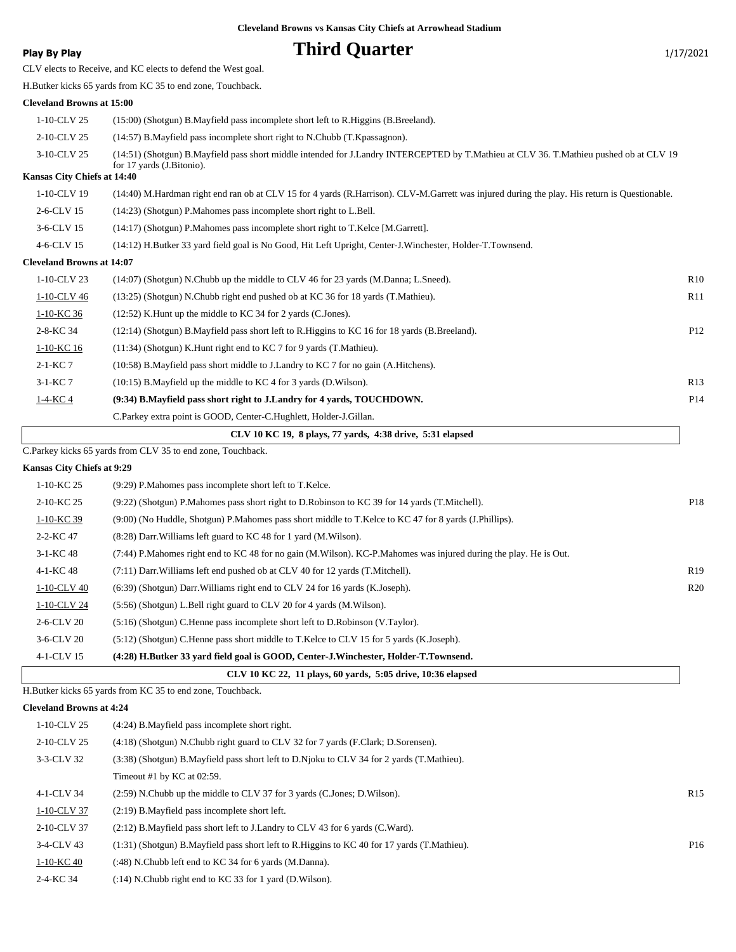## **Play By Play Play Play Play Play By Play Play By Play Play By Play Play Play Play Play Play Play Play Play Play Play Play Play Play Play Play Play Play Play Play Play**

CLV elects to Receive, and KC elects to defend the West goal.

H.Butker kicks 65 yards from KC 35 to end zone, Touchback.

#### **Cleveland Browns at 15:00**

1-10-CLV 25 (15:00) (Shotgun) B.Mayfield pass incomplete short left to R.Higgins (B.Breeland). 2-10-CLV 25 (14:57) B.Mayfield pass incomplete short right to N.Chubb (T.Kpassagnon). (14:51) (Shotgun) B.Mayfield pass short middle intended for J.Landry INTERCEPTED by T.Mathieu at CLV 36. T.Mathieu pushed ob at CLV 19 for 17 yards (J.Bitonio). 3-10-CLV 25 **Kansas City Chiefs at 14:40** 1-10-CLV 19 (14:40) M.Hardman right end ran ob at CLV 15 for 4 yards (R.Harrison). CLV-M.Garrett was injured during the play. His return is Questionable. 2-6-CLV 15 (14:23) (Shotgun) P.Mahomes pass incomplete short right to L.Bell. 3-6-CLV 15 (14:17) (Shotgun) P.Mahomes pass incomplete short right to T.Kelce [M.Garrett]. 4-6-CLV 15 (14:12) H.Butker 33 yard field goal is No Good, Hit Left Upright, Center-J.Winchester, Holder-T.Townsend. **Cleveland Browns at 14:07** 1-10-CLV 23 (14:07) (Shotgun) N.Chubb up the middle to CLV 46 for 23 yards (M.Danna; L.Sneed). R10 1-10-CLV 46 (13:25) (Shotgun) N.Chubb right end pushed ob at KC 36 for 18 yards (T.Mathieu). R11 1-10-KC 36 (12:52) K.Hunt up the middle to KC 34 for 2 yards (C.Jones). 2-8-KC 34 (12:14) (Shotgun) B.Mayfield pass short left to R.Higgins to KC 16 for 18 yards (B.Breeland). P12 1-10-KC 16 (11:34) (Shotgun) K.Hunt right end to KC 7 for 9 yards (T.Mathieu). 2-1-KC 7 (10:58) B.Mayfield pass short middle to J.Landry to KC 7 for no gain (A.Hitchens). 3-1-KC 7 (10:15) B.Mayfield up the middle to KC 4 for 3 yards (D.Wilson). R13 1-4-KC 4 **(9:34) B.Mayfield pass short right to J.Landry for 4 yards, TOUCHDOWN.** P14 C.Parkey extra point is GOOD, Center-C.Hughlett, Holder-J.Gillan.

#### **CLV 10 KC 19, 8 plays, 77 yards, 4:38 drive, 5:31 elapsed**

C.Parkey kicks 65 yards from CLV 35 to end zone, Touchback.

### **Kansas City Chiefs at 9:29**

| $1-10-KC$ 25 | (9:29) P. Mahomes pass incomplete short left to T. Kelce.                                                        |                 |
|--------------|------------------------------------------------------------------------------------------------------------------|-----------------|
| $2-10-KC$ 25 | (9.22) (Shotgun) P.Mahomes pass short right to D.Robinson to KC 39 for 14 yards (T.Mitchell).                    | P <sub>18</sub> |
| 1-10-KC 39   | (9:00) (No Huddle, Shotgun) P. Mahomes pass short middle to T. Kelce to KC 47 for 8 yards (J. Phillips).         |                 |
| 2-2-KC 47    | (8.28) Darr Williams left guard to KC 48 for 1 yard (M. Wilson).                                                 |                 |
| $3-1-KC$ 48  | (7:44) P.Mahomes right end to KC 48 for no gain (M.Wilson). KC-P.Mahomes was injured during the play. He is Out. |                 |
| 4-1-KC 48    | $(7:11)$ Darr. Williams left end pushed ob at CLV 40 for 12 yards $(T.Mitchell)$ .                               | R <sub>19</sub> |
| 1-10-CLV 40  | $(6:39)$ (Shotgun) Darr. Williams right end to CLV 24 for 16 yards (K. Joseph).                                  | R20             |
| 1-10-CLV 24  | (5.56) (Shotgun) L.Bell right guard to CLV 20 for 4 yards (M.Wilson).                                            |                 |
| 2-6-CLV 20   | (5:16) (Shotgun) C.Henne pass incomplete short left to D.Robinson (V.Taylor).                                    |                 |
| 3-6-CLV 20   | (5.12) (Shotgun) C.Henne pass short middle to T.Kelce to CLV 15 for 5 yards (K.Joseph).                          |                 |
| 4-1-CLV 15   | (4:28) H.Butker 33 vard field goal is GOOD, Center-J.Winchester, Holder-T.Townsend.                              |                 |
|              |                                                                                                                  |                 |

 **CLV 10 KC 22, 11 plays, 60 yards, 5:05 drive, 10:36 elapsed**

H.Butker kicks 65 yards from KC 35 to end zone, Touchback.

### **Cleveland Browns at 4:24**

| 1-10-CLV 25     | $(4:24)$ B. Mayfield pass incomplete short right.                                                |                 |
|-----------------|--------------------------------------------------------------------------------------------------|-----------------|
| 2-10-CLV 25     | (4.18) (Shotgun) N.Chubb right guard to CLV 32 for 7 yards (F.Clark; D.Sorensen).                |                 |
| 3-3-CLV 32      | (3:38) (Shotgun) B. Mayfield pass short left to D. Njoku to CLV 34 for 2 yards (T. Mathieu).     |                 |
|                 | Timeout #1 by $KC$ at 02:59.                                                                     |                 |
| 4-1-CLV 34      | $(2.59)$ N.Chubb up the middle to CLV 37 for 3 yards (C.Jones; D.Wilson).                        | R15             |
| 1-10-CLV 37     | $(2:19)$ B. Mayfield pass incomplete short left.                                                 |                 |
| 2-10-CLV 37     | $(2.12)$ B. Mayfield pass short left to J. Landry to CLV 43 for 6 yards (C. Ward).               |                 |
| 3-4-CLV 43      | $(1:31)$ (Shotgun) B. Mayfield pass short left to R. Higgins to KC 40 for 17 yards (T. Mathieu). | P <sub>16</sub> |
| $1-10-KC$ 40    | (:48) N.Chubb left end to KC 34 for 6 yards (M.Danna).                                           |                 |
| $2 - 4 - KC$ 34 | $(14)$ N Chubb right end to KC 33 for 1 yard (D Wilson)                                          |                 |

2-4-KC 34 (:14) N.Chubb right end to KC 33 for 1 yard (D.Wilson).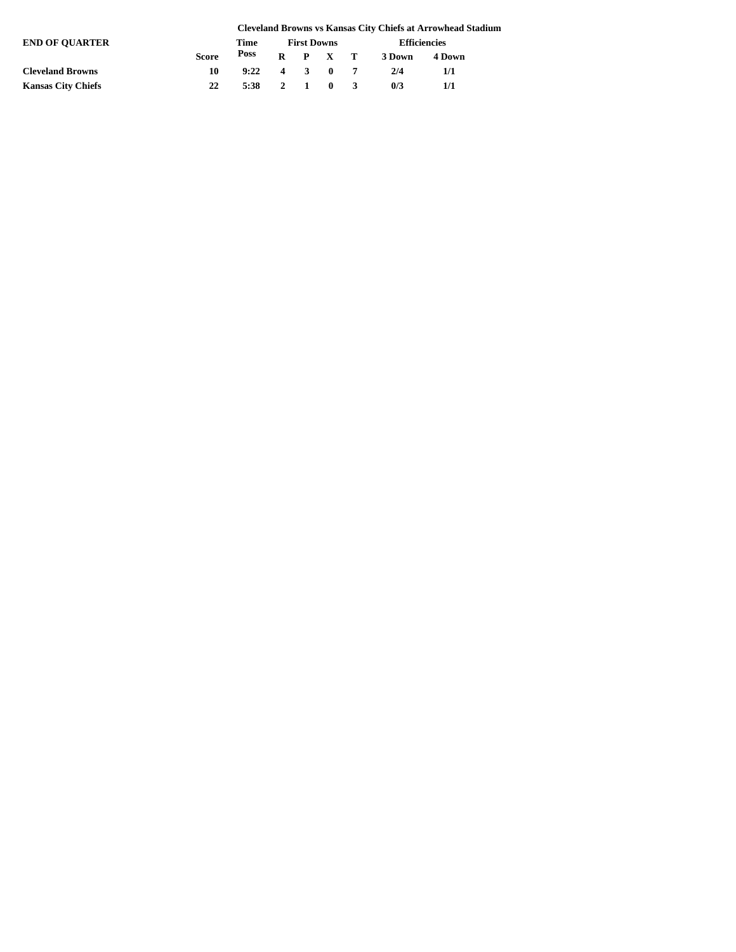|                           |              | <b>Cleveland Browns vs Kansas City Chiefs at Arrowhead Stadium</b> |  |       |                    |                 |                     |        |  |  |  |  |
|---------------------------|--------------|--------------------------------------------------------------------|--|-------|--------------------|-----------------|---------------------|--------|--|--|--|--|
| <b>END OF OUARTER</b>     |              | Time                                                               |  |       | <b>First Downs</b> |                 | <b>Efficiencies</b> |        |  |  |  |  |
|                           | <b>Score</b> | Poss                                                               |  |       |                    | $R$ $P$ $X$ $T$ | 3 Down              | 4 Down |  |  |  |  |
| <b>Cleveland Browns</b>   | 10           | $9:22 \quad 4 \quad 3 \quad 0 \quad 7$                             |  |       |                    |                 | 2/4                 | 1/1    |  |  |  |  |
| <b>Kansas City Chiefs</b> | 22           | 5:38                                                               |  | 2 1 0 |                    |                 | 0/3                 | 1/1    |  |  |  |  |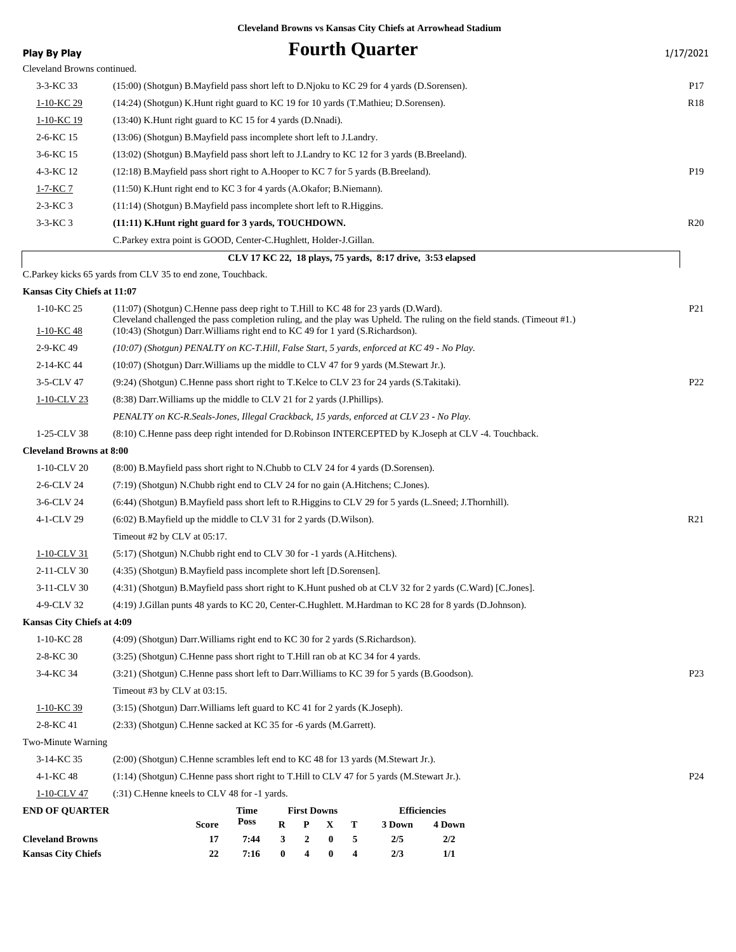|                                 |                                                                                                                                                                                                           |      |          |                    |                  |   |                                                            |                     | <b>Cleveland Browns vs Kansas City Chiefs at Arrowhead Stadium</b> |  |                 |
|---------------------------------|-----------------------------------------------------------------------------------------------------------------------------------------------------------------------------------------------------------|------|----------|--------------------|------------------|---|------------------------------------------------------------|---------------------|--------------------------------------------------------------------|--|-----------------|
| <b>Play By Play</b>             |                                                                                                                                                                                                           |      |          |                    |                  |   | <b>Fourth Quarter</b>                                      |                     |                                                                    |  | 1/17/2021       |
| Cleveland Browns continued.     |                                                                                                                                                                                                           |      |          |                    |                  |   |                                                            |                     |                                                                    |  |                 |
| 3-3-KC 33                       | (15:00) (Shotgun) B.Mayfield pass short left to D.Njoku to KC 29 for 4 yards (D.Sorensen).                                                                                                                |      |          |                    |                  |   |                                                            |                     |                                                                    |  | P17             |
| 1-10-KC 29                      | (14:24) (Shotgun) K.Hunt right guard to KC 19 for 10 yards (T.Mathieu; D.Sorensen).                                                                                                                       |      |          |                    |                  |   |                                                            |                     |                                                                    |  | R <sub>18</sub> |
| 1-10-KC 19                      | $(13:40)$ K. Hunt right guard to KC 15 for 4 yards (D. Nnadi).                                                                                                                                            |      |          |                    |                  |   |                                                            |                     |                                                                    |  |                 |
| 2-6-KC 15                       | (13:06) (Shotgun) B. Mayfield pass incomplete short left to J. Landry.                                                                                                                                    |      |          |                    |                  |   |                                                            |                     |                                                                    |  |                 |
| 3-6-KC 15                       | (13:02) (Shotgun) B.Mayfield pass short left to J.Landry to KC 12 for 3 yards (B.Breeland).                                                                                                               |      |          |                    |                  |   |                                                            |                     |                                                                    |  |                 |
| 4-3-KC 12                       | $(12:18)$ B. Mayfield pass short right to A. Hooper to KC 7 for 5 yards (B. Breeland).                                                                                                                    |      |          |                    |                  |   |                                                            |                     |                                                                    |  | P <sub>19</sub> |
| 1-7-KC 7                        | (11:50) K. Hunt right end to KC 3 for 4 yards (A. Okafor; B. Niemann).                                                                                                                                    |      |          |                    |                  |   |                                                            |                     |                                                                    |  |                 |
| $2-3-KC3$                       | $(11:14)$ (Shotgun) B. Mayfield pass incomplete short left to R. Higgins.                                                                                                                                 |      |          |                    |                  |   |                                                            |                     |                                                                    |  |                 |
| $3 - 3 - KC$ 3                  | (11:11) K.Hunt right guard for 3 yards, TOUCHDOWN.                                                                                                                                                        |      |          |                    |                  |   |                                                            |                     |                                                                    |  | R20             |
|                                 | C.Parkey extra point is GOOD, Center-C.Hughlett, Holder-J.Gillan.                                                                                                                                         |      |          |                    |                  |   |                                                            |                     |                                                                    |  |                 |
|                                 |                                                                                                                                                                                                           |      |          |                    |                  |   | CLV 17 KC 22, 18 plays, 75 yards, 8:17 drive, 3:53 elapsed |                     |                                                                    |  |                 |
|                                 | C.Parkey kicks 65 yards from CLV 35 to end zone, Touchback.                                                                                                                                               |      |          |                    |                  |   |                                                            |                     |                                                                    |  |                 |
| Kansas City Chiefs at 11:07     |                                                                                                                                                                                                           |      |          |                    |                  |   |                                                            |                     |                                                                    |  |                 |
| 1-10-KC 25                      | $(11:07)$ (Shotgun) C.Henne pass deep right to T.Hill to KC 48 for 23 yards (D.Ward).                                                                                                                     |      |          |                    |                  |   |                                                            |                     |                                                                    |  | P <sub>21</sub> |
| $1-10-KC$ 48                    | Cleveland challenged the pass completion ruling, and the play was Upheld. The ruling on the field stands. (Timeout #1.)<br>(10:43) (Shotgun) Darr. Williams right end to KC 49 for 1 yard (S.Richardson). |      |          |                    |                  |   |                                                            |                     |                                                                    |  |                 |
| 2-9-KC 49                       | (10:07) (Shotgun) PENALTY on KC-T.Hill, False Start, 5 yards, enforced at KC 49 - No Play.                                                                                                                |      |          |                    |                  |   |                                                            |                     |                                                                    |  |                 |
| 2-14-KC 44                      | (10:07) (Shotgun) Darr. Williams up the middle to CLV 47 for 9 yards (M.Stewart Jr.).                                                                                                                     |      |          |                    |                  |   |                                                            |                     |                                                                    |  |                 |
| 3-5-CLV 47                      | (9.24) (Shotgun) C.Henne pass short right to T.Kelce to CLV 23 for 24 yards (S.Takitaki).                                                                                                                 |      |          |                    |                  |   |                                                            |                     |                                                                    |  | P <sub>22</sub> |
| 1-10-CLV 23                     | (8:38) Darr. Williams up the middle to CLV 21 for 2 yards (J. Phillips).                                                                                                                                  |      |          |                    |                  |   |                                                            |                     |                                                                    |  |                 |
|                                 | PENALTY on KC-R.Seals-Jones, Illegal Crackback, 15 yards, enforced at CLV 23 - No Play.                                                                                                                   |      |          |                    |                  |   |                                                            |                     |                                                                    |  |                 |
| 1-25-CLV 38                     | (8:10) C.Henne pass deep right intended for D.Robinson INTERCEPTED by K.Joseph at CLV -4. Touchback.                                                                                                      |      |          |                    |                  |   |                                                            |                     |                                                                    |  |                 |
| <b>Cleveland Browns at 8:00</b> |                                                                                                                                                                                                           |      |          |                    |                  |   |                                                            |                     |                                                                    |  |                 |
| 1-10-CLV 20                     | (8:00) B. Mayfield pass short right to N. Chubb to CLV 24 for 4 yards (D. Sorensen).                                                                                                                      |      |          |                    |                  |   |                                                            |                     |                                                                    |  |                 |
| 2-6-CLV 24                      | (7:19) (Shotgun) N.Chubb right end to CLV 24 for no gain (A.Hitchens; C.Jones).                                                                                                                           |      |          |                    |                  |   |                                                            |                     |                                                                    |  |                 |
| 3-6-CLV 24                      | (6:44) (Shotgun) B. Mayfield pass short left to R. Higgins to CLV 29 for 5 yards (L. Sneed; J. Thornhill).                                                                                                |      |          |                    |                  |   |                                                            |                     |                                                                    |  |                 |
| 4-1-CLV 29                      | $(6:02)$ B. Mayfield up the middle to CLV 31 for 2 yards (D. Wilson).                                                                                                                                     |      |          |                    |                  |   |                                                            |                     |                                                                    |  | R <sub>21</sub> |
|                                 | Timeout #2 by CLV at 05:17.                                                                                                                                                                               |      |          |                    |                  |   |                                                            |                     |                                                                    |  |                 |
| 1-10-CLV 31                     | (5:17) (Shotgun) N.Chubb right end to CLV 30 for -1 yards (A.Hitchens).                                                                                                                                   |      |          |                    |                  |   |                                                            |                     |                                                                    |  |                 |
| 2-11-CLV 30                     | (4:35) (Shotgun) B.Mayfield pass incomplete short left [D.Sorensen].                                                                                                                                      |      |          |                    |                  |   |                                                            |                     |                                                                    |  |                 |
| 3-11-CLV 30                     | (4:31) (Shotgun) B.Mayfield pass short right to K.Hunt pushed ob at CLV 32 for 2 yards (C.Ward) [C.Jones].                                                                                                |      |          |                    |                  |   |                                                            |                     |                                                                    |  |                 |
| 4-9-CLV 32                      | (4:19) J.Gillan punts 48 yards to KC 20, Center-C.Hughlett. M.Hardman to KC 28 for 8 yards (D.Johnson).                                                                                                   |      |          |                    |                  |   |                                                            |                     |                                                                    |  |                 |
| Kansas City Chiefs at 4:09      |                                                                                                                                                                                                           |      |          |                    |                  |   |                                                            |                     |                                                                    |  |                 |
| 1-10-KC 28                      | $(4:09)$ (Shotgun) Darr. Williams right end to KC 30 for 2 yards (S. Richardson).                                                                                                                         |      |          |                    |                  |   |                                                            |                     |                                                                    |  |                 |
| 2-8-KC 30                       | $(3:25)$ (Shotgun) C. Henne pass short right to T. Hill ran ob at KC 34 for 4 yards.                                                                                                                      |      |          |                    |                  |   |                                                            |                     |                                                                    |  |                 |
| 3-4-KC 34                       | (3:21) (Shotgun) C.Henne pass short left to Darr. Williams to KC 39 for 5 yards (B.Goodson).                                                                                                              |      |          |                    |                  |   |                                                            |                     |                                                                    |  | P <sub>23</sub> |
|                                 | Timeout #3 by CLV at $03:15$ .                                                                                                                                                                            |      |          |                    |                  |   |                                                            |                     |                                                                    |  |                 |
| $1-10-KC$ 39                    | $(3:15)$ (Shotgun) Darr. Williams left guard to KC 41 for 2 yards (K. Joseph).                                                                                                                            |      |          |                    |                  |   |                                                            |                     |                                                                    |  |                 |
| 2-8-KC 41                       | (2:33) (Shotgun) C.Henne sacked at KC 35 for -6 yards (M.Garrett).                                                                                                                                        |      |          |                    |                  |   |                                                            |                     |                                                                    |  |                 |
| Two-Minute Warning              |                                                                                                                                                                                                           |      |          |                    |                  |   |                                                            |                     |                                                                    |  |                 |
| 3-14-KC 35                      | $(2:00)$ (Shotgun) C. Henne scrambles left end to KC 48 for 13 yards (M. Stewart Jr.).                                                                                                                    |      |          |                    |                  |   |                                                            |                     |                                                                    |  |                 |
| 4-1-KC 48                       | $(1:14)$ (Shotgun) C.Henne pass short right to T.Hill to CLV 47 for 5 yards (M.Stewart Jr.).                                                                                                              |      |          |                    |                  |   |                                                            |                     |                                                                    |  | P <sub>24</sub> |
| 1-10-CLV 47                     | $(31)$ C. Henne kneels to CLV 48 for $-1$ yards.                                                                                                                                                          |      |          |                    |                  |   |                                                            |                     |                                                                    |  |                 |
| <b>END OF QUARTER</b>           |                                                                                                                                                                                                           | Time |          | <b>First Downs</b> |                  |   |                                                            | <b>Efficiencies</b> |                                                                    |  |                 |
|                                 | <b>Score</b>                                                                                                                                                                                              | Poss | R        | P                  | $\mathbf X$      | т | 3 Down                                                     |                     | 4 Down                                                             |  |                 |
| <b>Cleveland Browns</b>         | 17                                                                                                                                                                                                        | 7:44 | 3        | $\boldsymbol{2}$   | $\boldsymbol{0}$ | 5 | 2/5                                                        |                     | 2/2                                                                |  |                 |
| <b>Kansas City Chiefs</b>       | 22                                                                                                                                                                                                        | 7:16 | $\bf{0}$ | 4                  | $\bf{0}$         | 4 | 2/3                                                        |                     | 1/1                                                                |  |                 |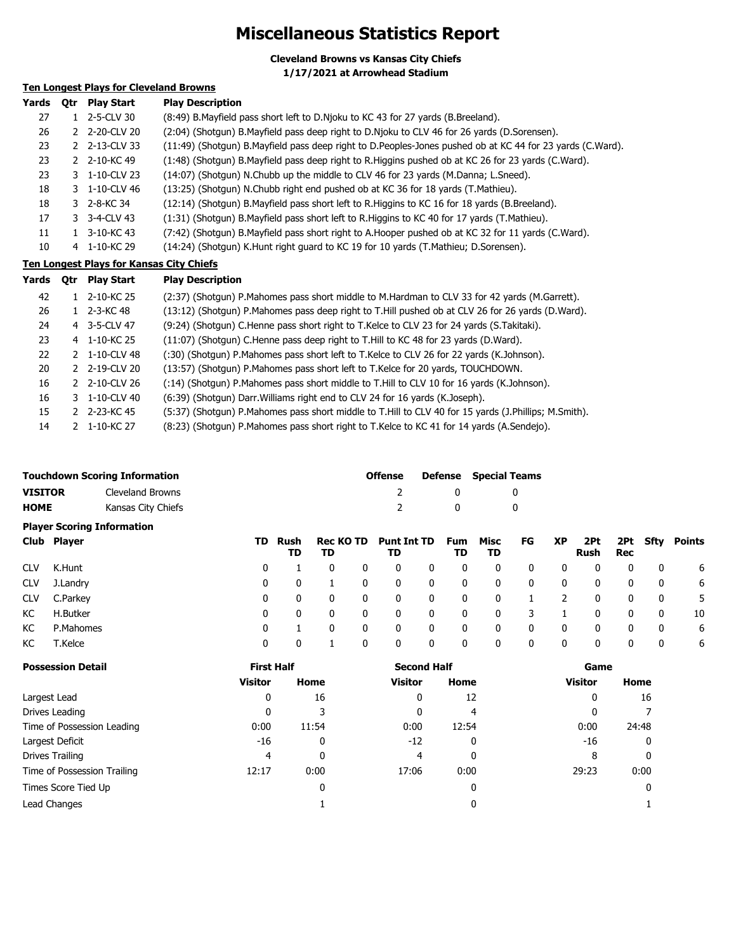## **Miscellaneous Statistics Report**

**Cleveland Browns vs Kansas City Chiefs 1/17/2021 at Arrowhead Stadium**

### **Ten Longest Plays for Cleveland Browns**

| Yards | <b>Otr</b> | <b>Play Start</b>  | <b>Play Description</b>                                                                                   |
|-------|------------|--------------------|-----------------------------------------------------------------------------------------------------------|
| 27    |            | 1 2-5-CLV 30       | (8:49) B. Mayfield pass short left to D. Njoku to KC 43 for 27 yards (B. Breeland).                       |
| 26    |            | 2 2-20-CLV 20      | (2:04) (Shotgun) B.Mayfield pass deep right to D.Njoku to CLV 46 for 26 yards (D.Sorensen).               |
| 23    |            | 2 2-13-CLV 33      | (11:49) (Shotgun) B.Mayfield pass deep right to D.Peoples-Jones pushed ob at KC 44 for 23 yards (C.Ward). |
| 23    |            | 2 $2 - 10 - KC$ 49 | (1:48) (Shotgun) B.Mayfield pass deep right to R.Higgins pushed ob at KC 26 for 23 yards (C.Ward).        |
| 23    |            | 3 1-10-CLV 23      | (14:07) (Shotgun) N.Chubb up the middle to CLV 46 for 23 yards (M.Danna; L.Sneed).                        |
| 18    |            | 3 1-10-CLV 46      | (13:25) (Shotgun) N.Chubb right end pushed ob at KC 36 for 18 yards (T.Mathieu).                          |
| 18    |            | 3 2-8-KC 34        | (12:14) (Shotgun) B.Mayfield pass short left to R.Higgins to KC 16 for 18 yards (B.Breeland).             |
| 17    |            | 3 3-4-CLV 43       | (1:31) (Shotgun) B.Mayfield pass short left to R.Higgins to KC 40 for 17 yards (T.Mathieu).               |
| 11    |            | 1 3-10-KC 43       | (7:42) (Shotgun) B.Mayfield pass short right to A.Hooper pushed ob at KC 32 for 11 yards (C.Ward).        |
| 10    |            | 4 1-10-KC 29       | (14:24) (Shotgun) K.Hunt right guard to KC 19 for 10 yards (T.Mathieu; D.Sorensen).                       |

### **Ten Longest Plays for Kansas City Chiefs**

| Yards | <b>Otr</b> | <b>Play Start</b> | <b>Play Description</b>                                                                              |
|-------|------------|-------------------|------------------------------------------------------------------------------------------------------|
| 42    |            | 2-10-KC 25        | (2:37) (Shotgun) P.Mahomes pass short middle to M.Hardman to CLV 33 for 42 yards (M.Garrett).        |
| 26    |            | 2-3-KC 48         | (13:12) (Shotgun) P.Mahomes pass deep right to T.Hill pushed ob at CLV 26 for 26 yards (D.Ward).     |
| 24    |            | 4 3-5-CLV 47      | (9:24) (Shotgun) C.Henne pass short right to T.Kelce to CLV 23 for 24 yards (S.Takitaki).            |
| 23    |            | 4 1-10-KC 25      | (11:07) (Shotgun) C. Henne pass deep right to T. Hill to KC 48 for 23 yards (D. Ward).               |
| 22    |            | 2 1-10-CLV 48     | (:30) (Shotgun) P.Mahomes pass short left to T.Kelce to CLV 26 for 22 yards (K.Johnson).             |
| 20    |            | 2 2-19-CLV 20     | (13:57) (Shotgun) P. Mahomes pass short left to T. Kelce for 20 yards, TOUCHDOWN.                    |
| 16    |            | 2 2-10-CLV 26     | (:14) (Shotqun) P.Mahomes pass short middle to T.Hill to CLV 10 for 16 yards (K.Johnson).            |
| 16    |            | 3 1-10-CLV 40     | (6:39) (Shotgun) Darr. Williams right end to CLV 24 for 16 yards (K. Joseph).                        |
| 15    |            | 2 2-23-KC 45      | (5:37) (Shotgun) P.Mahomes pass short middle to T.Hill to CLV 40 for 15 yards (J.Phillips; M.Smith). |
| 14    |            | 1-10-KC 27        | (8:23) (Shotgun) P.Mahomes pass short right to T.Kelce to KC 41 for 14 yards (A.Sendejo).            |

|                | <b>Touchdown Scoring Information</b> | <b>Offense</b> |              | <b>Defense</b> Special Teams |
|----------------|--------------------------------------|----------------|--------------|------------------------------|
| <b>VISITOR</b> | Cleveland Browns                     |                | $\mathbf{0}$ |                              |
| <b>HOME</b>    | Kansas City Chiefs                   |                | $\mathbf{0}$ |                              |

### **Player Scoring Information**

|            | Club Player |   | TD Rush<br>TD | TD           |   | Rec KO TD Punt Int TD Fum Misc<br>TD |   | TD.      | TD.          | <b>FG</b> | <b>XP</b> | 2Pt<br>Rush | Rec         |          | 2Pt Sfty Points |
|------------|-------------|---|---------------|--------------|---|--------------------------------------|---|----------|--------------|-----------|-----------|-------------|-------------|----------|-----------------|
| <b>CLV</b> | K.Hunt      | 0 |               | $\mathbf{0}$ | 0 | $\mathbf 0$                          | 0 | 0        | 0            | 0         | 0         | 0           | 0           |          | 6               |
| <b>CLV</b> | J.Landry    | 0 | $\mathbf{0}$  |              | 0 | $\mathbf 0$                          | 0 | $\bf{0}$ | 0            | 0         | 0         | 0           | $\mathbf 0$ | 0        | 6               |
| <b>CLV</b> | C.Parkey    | 0 | $\mathbf{0}$  | $\mathbf{0}$ | 0 | $\mathbf{0}$                         | 0 | 0        | $\mathbf 0$  |           | 2         | 0           | $\mathbf 0$ | 0        | 5               |
| KC         | H.Butker    | 0 | $\mathbf{0}$  | $\mathbf{0}$ | 0 | $\Omega$                             | 0 | $\bf{0}$ | $\mathbf 0$  | 3         |           | $\Omega$    | $\mathbf 0$ | $\bf{0}$ | 10              |
| KC         | P.Mahomes   | 0 |               | $\mathbf{0}$ | 0 | $\mathbf{0}$                         | 0 | 0        | $\mathbf{0}$ | 0         | 0         | 0           | $\mathbf 0$ | 0        | 6               |
| KC         | T.Kelce     |   |               |              |   | $\mathbf{0}$                         | 0 | 0        | 0            | 0         | 0         | 0           | 0           | 0        | 6               |

| <b>Possession Detail</b>    | <b>First Half</b> |              | <b>Second Half</b> |       | Game           |       |  |
|-----------------------------|-------------------|--------------|--------------------|-------|----------------|-------|--|
|                             | <b>Visitor</b>    | Home         | <b>Visitor</b>     | Home  | <b>Visitor</b> | Home  |  |
| Largest Lead                | 0                 | 16           | 0                  | 12    | 0              | 16    |  |
| Drives Leading              | 0                 |              | 0                  | 4     | 0              |       |  |
| Time of Possession Leading  | 0:00              | 11:54        | 0:00               | 12:54 | 0:00           | 24:48 |  |
| Largest Deficit             | $-16$             | $\mathbf{0}$ | $-12$              | 0     | $-16$          | 0     |  |
| Drives Trailing             | 4                 | 0            | 4                  | 0     | 8              | 0     |  |
| Time of Possession Trailing | 12:17             | 0:00         | 17:06              | 0:00  | 29:23          | 0:00  |  |
| Times Score Tied Up         |                   | 0            |                    | 0     |                | C     |  |
| Lead Changes                |                   |              |                    | 0     |                |       |  |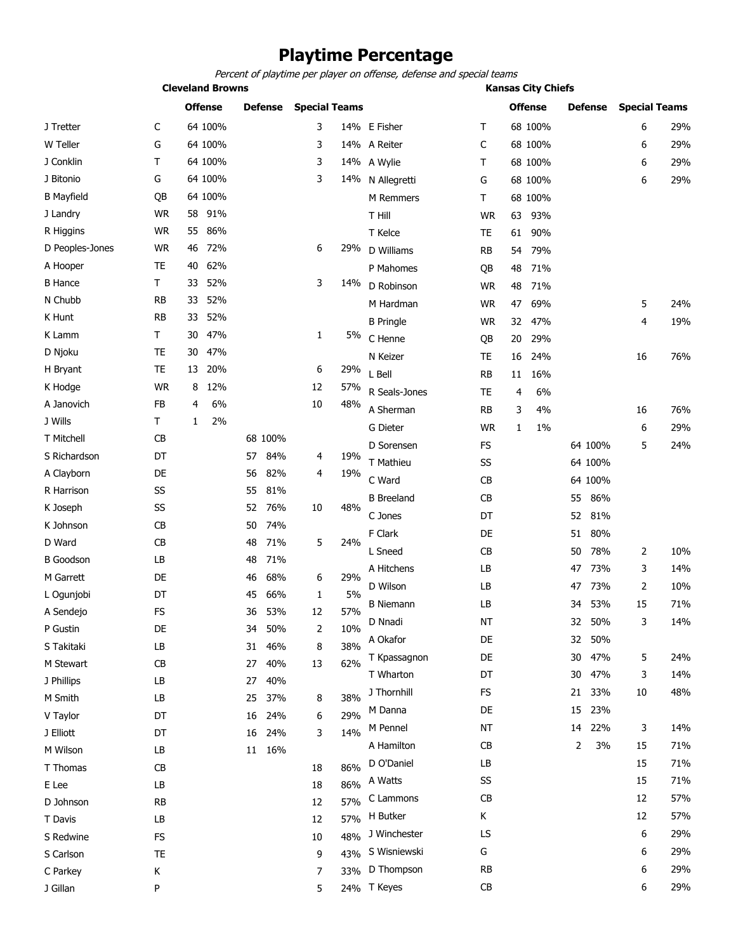## **Playtime Percentage**

Percent of playtime per player on offense, defense and special teams

| <b>Cleveland Browns</b> |                |  |                              |  |              | <b>Kansas City Chiefs</b> |                |                              |   |     |
|-------------------------|----------------|--|------------------------------|--|--------------|---------------------------|----------------|------------------------------|---|-----|
|                         | <b>Offense</b> |  | <b>Defense</b> Special Teams |  |              |                           | <b>Offense</b> | <b>Defense</b> Special Teams |   |     |
|                         | 64 100%        |  |                              |  | 14% E Fisher |                           | 68 100%        |                              | 6 | 29% |
| G                       | 64 100%        |  |                              |  | 14% A Reiter |                           | 68 100%        |                              |   | 29% |
|                         | 64 100%        |  | 3                            |  | 14% A Wylie  |                           | 68 100%        |                              |   | 29% |

J Tretter

| W Teller          | G         |    | 64 100% |    |         | 3  |     | 14% A Reiter      | C           |    | 68 100% |    |         | 6  | 29% |
|-------------------|-----------|----|---------|----|---------|----|-----|-------------------|-------------|----|---------|----|---------|----|-----|
| J Conklin         | т         |    | 64 100% |    |         | 3  |     | 14% A Wylie       | т           |    | 68 100% |    |         | 6  | 29% |
| J Bitonio         | G         |    | 64 100% |    |         | 3  |     | 14% N Allegretti  | G           |    | 68 100% |    |         | 6  | 29% |
| <b>B</b> Mayfield | QB        |    | 64 100% |    |         |    |     | M Remmers         | $\mathsf T$ |    | 68 100% |    |         |    |     |
| J Landry          | <b>WR</b> | 58 | 91%     |    |         |    |     | T Hill            | <b>WR</b>   | 63 | 93%     |    |         |    |     |
| R Higgins         | <b>WR</b> | 55 | 86%     |    |         |    |     | T Kelce           | TE          | 61 | 90%     |    |         |    |     |
| D Peoples-Jones   | <b>WR</b> | 46 | 72%     |    |         | 6  | 29% | D Williams        | <b>RB</b>   | 54 | 79%     |    |         |    |     |
| A Hooper          | TE        | 40 | 62%     |    |         |    |     | P Mahomes         | QB          | 48 | 71%     |    |         |    |     |
| <b>B</b> Hance    | Τ         | 33 | 52%     |    |         | 3  | 14% | D Robinson        | WR          | 48 | 71%     |    |         |    |     |
| N Chubb           | <b>RB</b> | 33 | 52%     |    |         |    |     | M Hardman         | <b>WR</b>   | 47 | 69%     |    |         | 5  | 24% |
| K Hunt            | <b>RB</b> | 33 | 52%     |    |         |    |     | <b>B</b> Pringle  | <b>WR</b>   | 32 | 47%     |    |         | 4  | 19% |
| K Lamm            | Τ         | 30 | 47%     |    |         | 1  | 5%  | C Henne           | QB          | 20 | 29%     |    |         |    |     |
| D Njoku           | TE        | 30 | 47%     |    |         |    |     | N Keizer          | <b>TE</b>   | 16 | 24%     |    |         | 16 | 76% |
| H Bryant          | TE        | 13 | 20%     |    |         | 6  | 29% | L Bell            | <b>RB</b>   | 11 | 16%     |    |         |    |     |
| K Hodge           | <b>WR</b> | 8  | 12%     |    |         | 12 | 57% | R Seals-Jones     | <b>TE</b>   | 4  | 6%      |    |         |    |     |
| A Janovich        | <b>FB</b> | 4  | 6%      |    |         | 10 | 48% | A Sherman         | <b>RB</b>   | 3  | 4%      |    |         | 16 | 76% |
| J Wills           | Τ         | 1  | 2%      |    |         |    |     | G Dieter          | WR          | 1  | 1%      |    |         | 6  | 29% |
| T Mitchell        | CB        |    |         |    | 68 100% |    |     | D Sorensen        | <b>FS</b>   |    |         |    | 64 100% | 5  | 24% |
| S Richardson      | DT        |    |         | 57 | 84%     | 4  | 19% | T Mathieu         | SS          |    |         |    | 64 100% |    |     |
| A Clayborn        | DE        |    |         | 56 | 82%     | 4  | 19% | C Ward            | CВ          |    |         |    | 64 100% |    |     |
| R Harrison        | SS        |    |         | 55 | 81%     |    |     | <b>B</b> Breeland | CB          |    |         | 55 | 86%     |    |     |
| K Joseph          | SS        |    |         | 52 | 76%     | 10 | 48% | C Jones           | DT          |    |         | 52 | 81%     |    |     |
| K Johnson         | CB        |    |         | 50 | 74%     |    |     | F Clark           | DE          |    |         | 51 | 80%     |    |     |
| D Ward            | CB        |    |         | 48 | 71%     | 5  | 24% | L Sneed           | CB          |    |         | 50 | 78%     | 2  | 10% |
| <b>B</b> Goodson  | LB        |    |         | 48 | 71%     |    |     | A Hitchens        | LB          |    |         | 47 | 73%     | 3  | 14% |
| M Garrett         | DE        |    |         | 46 | 68%     | 6  | 29% | D Wilson          | LB          |    |         | 47 | 73%     | 2  | 10% |
| L Ogunjobi        | DT        |    |         | 45 | 66%     | 1  | 5%  |                   |             |    |         |    | 53%     |    |     |
| A Sendejo         | FS        |    |         | 36 | 53%     | 12 | 57% | <b>B</b> Niemann  | LB          |    |         | 34 |         | 15 | 71% |
| P Gustin          | DE        |    |         | 34 | 50%     | 2  | 10% | D Nnadi           | <b>NT</b>   |    |         | 32 | 50%     | 3  | 14% |
| S Takitaki        | LB        |    |         | 31 | 46%     | 8  | 38% | A Okafor          | DE          |    |         | 32 | 50%     |    |     |
| M Stewart         | CB        |    |         | 27 | 40%     | 13 | 62% | T Kpassagnon      | DE          |    |         | 30 | 47%     | 5  | 24% |
| J Phillips        | LB        |    |         | 27 | 40%     |    |     | T Wharton         | DT          |    |         | 30 | 47%     | 3  | 14% |
| M Smith           | LB        |    |         |    | 25 37%  | 8  | 38% | J Thornhill       | <b>FS</b>   |    |         |    | 21 33%  | 10 | 48% |
| V Taylor          | DT        |    |         |    | 16 24%  | 6  | 29% | M Danna           | DE          |    |         |    | 15 23%  |    |     |
| J Elliott         | DT        |    |         |    | 16 24%  | 3  | 14% | M Pennel          | <b>NT</b>   |    |         |    | 14 22%  | 3  | 14% |
| M Wilson          | LB        |    |         |    | 11 16%  |    |     | A Hamilton        | CB          |    |         | 2  | 3%      | 15 | 71% |
| T Thomas          | CB        |    |         |    |         | 18 | 86% | D O'Daniel        | LB          |    |         |    |         | 15 | 71% |
| E Lee             | LB        |    |         |    |         | 18 | 86% | A Watts           | SS          |    |         |    |         | 15 | 71% |
| D Johnson         | RB        |    |         |    |         | 12 | 57% | C Lammons         | CB          |    |         |    |         | 12 | 57% |
| T Davis           | LB        |    |         |    |         | 12 | 57% | H Butker          | Κ           |    |         |    |         | 12 | 57% |
| S Redwine         | FS        |    |         |    |         | 10 | 48% | J Winchester      | LS          |    |         |    |         | 6  | 29% |
| S Carlson         | TE        |    |         |    |         | 9  |     | 43% S Wisniewski  | G           |    |         |    |         | 6  | 29% |
| C Parkey          | Κ         |    |         |    |         | 7  |     | 33% D Thompson    | <b>RB</b>   |    |         |    |         | 6  | 29% |
| J Gillan          | P         |    |         |    |         | 5  |     | 24% T Keyes       | CB          |    |         |    |         | 6  | 29% |
|                   |           |    |         |    |         |    |     |                   |             |    |         |    |         |    |     |